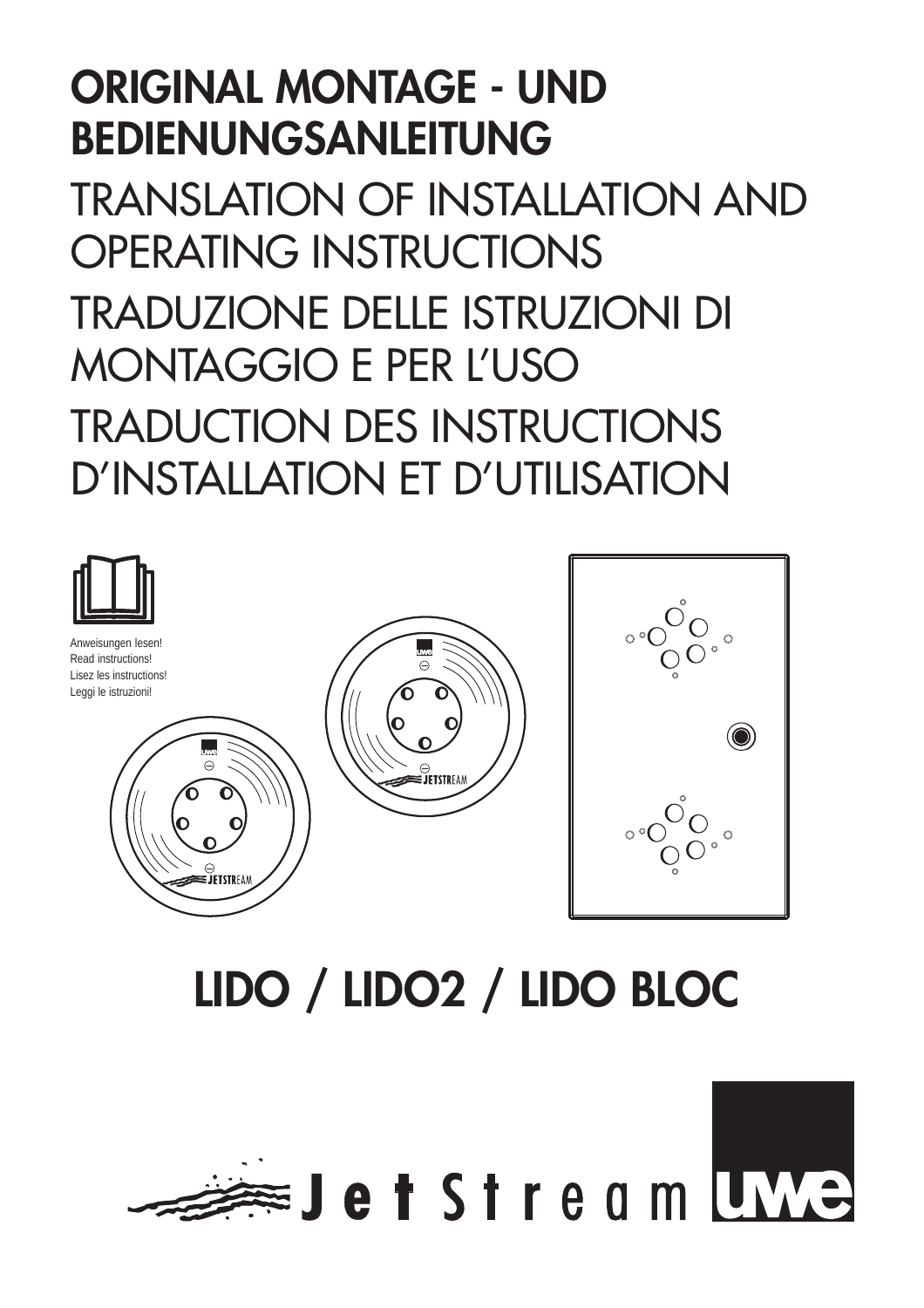## **ORIGINAL MONTAGE - UND BEDIENUNGSANLEITUNG**

TRANSLATION OF INSTALLATION AND OPERATING INSTRUCTIONS TRADUZIONE DELLE ISTRUZIONI DI MONTAGGIO E PER L'USO TRADUCTION DES INSTRUCTIONS D'INSTALLATION ET D'UTILISATION



# **LIDO / LIDO2 / LIDO BLOC**

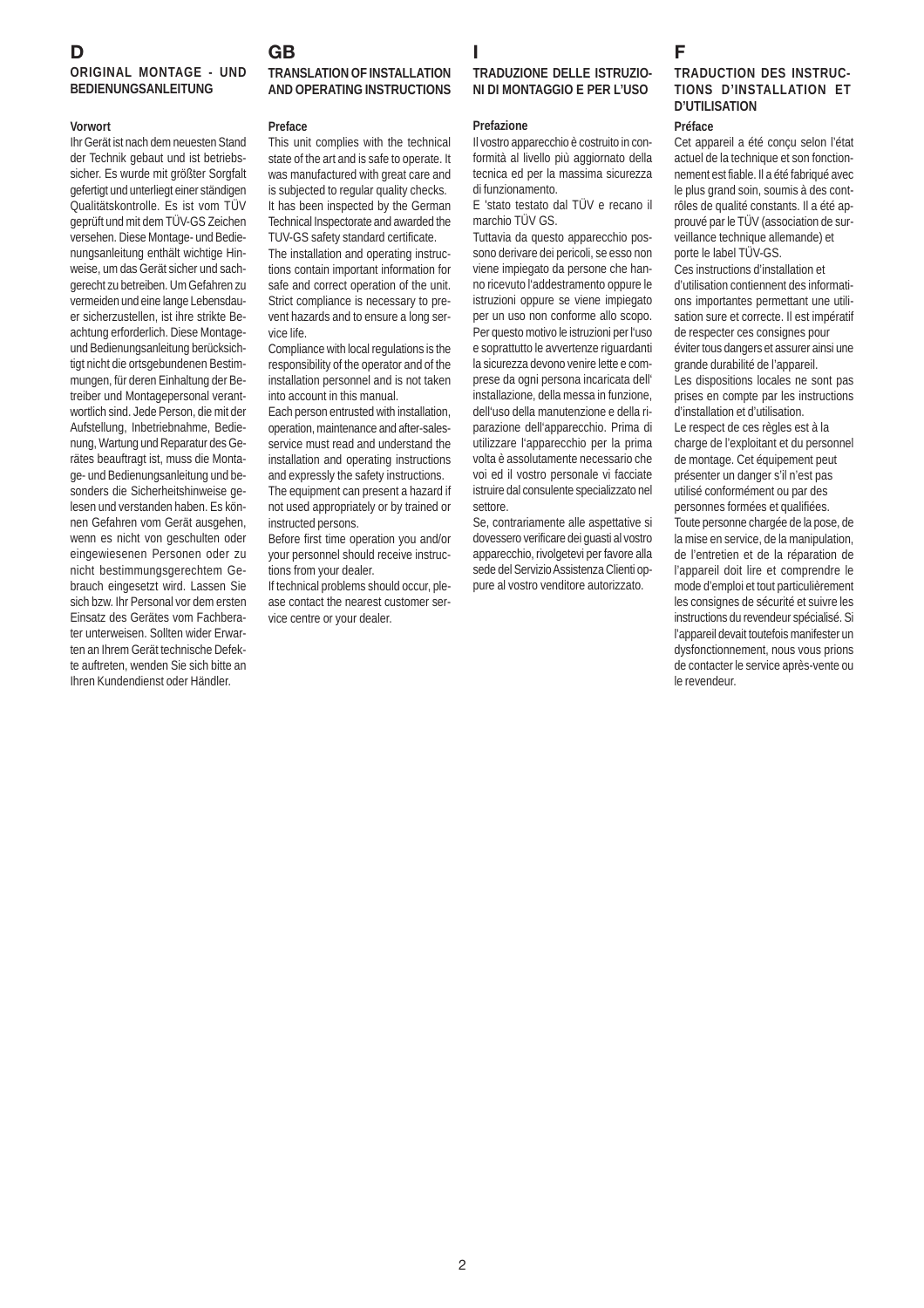#### **D ORIGINAL MONTAGE - UND BEDIENUNGSANLEITUNG**

#### **Vorwort**

Ihr Gerät ist nach dem neuesten Stand der Technik gebaut und ist betriebssicher. Es wurde mit größter Sorgfalt gefertigt und unterliegt einer ständigen Qualitätskontrolle. Es ist vom TÜV geprüft und mit dem TÜV-GS Zeichen versehen. Diese Montage- und Bedienungsanleitung enthält wichtige Hinweise, um das Gerät sicher und sachgerecht zu betreiben. Um Gefahren zu vermeiden und eine lange Lebensdauer sicherzustellen, ist ihre strikte Beachtung erforderlich. Diese Montageund Bedienungsanleitung berücksichtigt nicht die ortsgebundenen Bestimmungen, für deren Einhaltung der Betreiber und Montagepersonal verantwortlich sind. Jede Person, die mit der Aufstellung, Inbetriebnahme, Bedienung, Wartung und Reparatur des Gerätes beauftragt ist, muss die Montage- und Bedienungsanleitung und besonders die Sicherheitshinweise gelesen und verstanden haben. Es können Gefahren vom Gerät ausgehen, wenn es nicht von geschulten oder eingewiesenen Personen oder zu nicht bestimmungsgerechtem Gebrauch eingesetzt wird. Lassen Sie sich bzw. Ihr Personal vor dem ersten Einsatz des Gerätes vom Fachberater unterweisen. Sollten wider Erwarten an Ihrem Gerät technische Defekte auftreten, wenden Sie sich bitte an Ihren Kundendienst oder Händler.

#### **GB TRANSLATION OF INSTALLATION AND OPERATING INSTRUCTIONS**

#### **Preface**

This unit complies with the technical state of the art and is safe to operate. It was manufactured with great care and is subjected to regular quality checks. It has been inspected by the German Technical Inspectorate and awarded the TUV-GS safety standard certificate.

The installation and operating instructions contain important information for safe and correct operation of the unit. Strict compliance is necessary to prevent hazards and to ensure a long service life.

Compliance with local regulations is the responsibility of the operator and of the installation personnel and is not taken into account in this manual.

Each person entrusted with installation, operation, maintenance and after-salesservice must read and understand the installation and operating instructions and expressly the safety instructions. The equipment can present a hazard if not used appropriately or by trained or instructed persons.

Before first time operation you and/or your personnel should receive instructions from your dealer.

If technical problems should occur, please contact the nearest customer service centre or your dealer.

#### **I TRADUZIONE DELLE ISTRUZIO-NI DI MONTAGGIO E PER L'USO**

#### **Prefazione**

Il vostro apparecchio è costruito in conformità al livello più aggiornato della tecnica ed per la massima sicurezza di funzionamento.

E 'stato testato dal TÜV e recano il marchio TÜV GS.

Tuttavia da questo apparecchio possono derivare dei pericoli, se esso non viene impiegato da persone che hanno ricevuto l'addestramento oppure le istruzioni oppure se viene impiegato per un uso non conforme allo scopo. Per questo motivo le istruzioni per l'uso e soprattutto le avvertenze riguardanti la sicurezza devono venire lette e comprese da ogni persona incaricata dell' installazione, della messa in funzione, dell'uso della manutenzione e della riparazione dell'apparecchio. Prima di utilizzare l'apparecchio per la prima volta è assolutamente necessario che voi ed il vostro personale vi facciate istruire dal consulente specializzato nel settore.

Se, contrariamente alle aspettative si dovessero verificare dei guasti al vostro apparecchio, rivolgetevi per favore alla sede del Servizio Assistenza Clienti oppure al vostro venditore autorizzato.

## **F**

#### **TRADUCTION DES INSTRUC-TIONS D'INSTALLATION ET D'UTILISATION**

#### **Préface**

Cet appareil a été conçu selon l'état actuel de la technique et son fonctionnement est fiable. Il a été fabriqué avec le plus grand soin, soumis à des contrôles de qualité constants. Il a été approuvé par le TÜV (association de surveillance technique allemande) et porte le label TÜV-GS.

Ces instructions d'installation et d'utilisation contiennent des informations importantes permettant une utilisation sure et correcte. Il est impératif de respecter ces consignes pour éviter tous dangers et assurer ainsi une grande durabilité de l'appareil. Les dispositions locales ne sont pas prises en compte par les instructions d'installation et d'utilisation. Le respect de ces règles est à la charge de l'exploitant et du personnel de montage. Cet équipement peut présenter un danger s'il n'est pas utilisé conformément ou par des personnes formées et qualifiées.

Toute personne chargée de la pose, de la mise en service, de la manipulation, de l'entretien et de la réparation de l'appareil doit lire et comprendre le mode d'emploi et tout particulièrement les consignes de sécurité et suivre les instructions du revendeur spécialisé. Si l'appareil devait toutefois manifester un dysfonctionnement, nous vous prions de contacter le service après-vente ou le revendeur.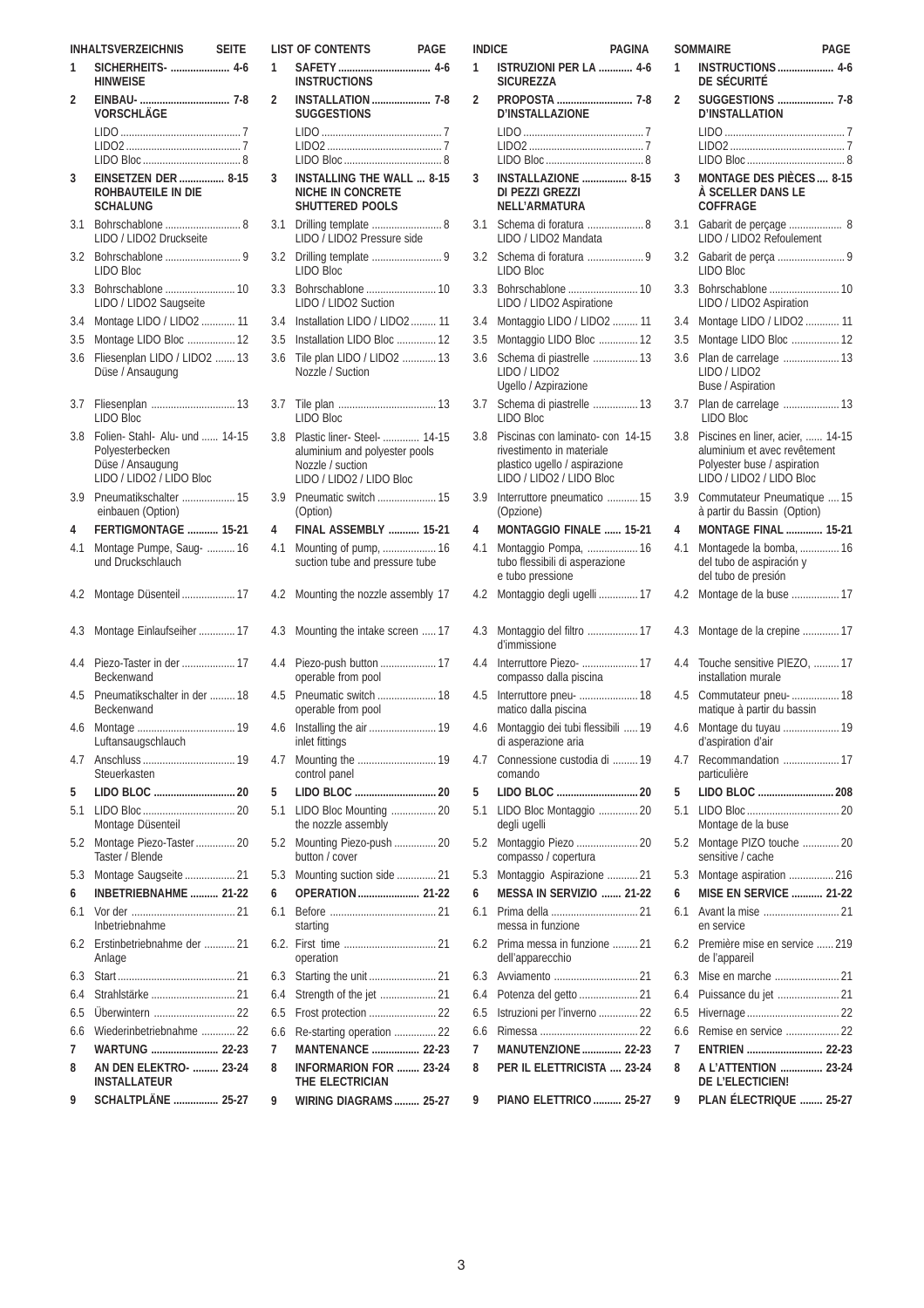| <b>INHALTSVERZEICHNIS</b><br><b>SEITE</b> |                                                                                                   |  |
|-------------------------------------------|---------------------------------------------------------------------------------------------------|--|
| 1                                         | SICHERHEITS-  4-6<br><b>HINWEISE</b>                                                              |  |
| 2                                         | VORSCHLÄGE                                                                                        |  |
|                                           |                                                                                                   |  |
|                                           |                                                                                                   |  |
|                                           | EINSETZEN DER  8-15                                                                               |  |
| 3                                         | ROHBAUTEILE IN DIE<br><b>SCHALUNG</b>                                                             |  |
| 3.1                                       | Bohrschablone  8<br>LIDO / LIDO2 Druckseite                                                       |  |
| 3.2                                       | <b>LIDO Bloc</b>                                                                                  |  |
| 3.3                                       | Bohrschablone  10<br>LIDO / LIDO2 Saugseite                                                       |  |
| 3.4                                       | Montage LIDO / LIDO2  11                                                                          |  |
| 3.5                                       | Montage LIDO Bloc  12                                                                             |  |
| 3.6                                       | Fliesenplan LIDO / LIDO2  13<br>Düse / Ansaugung                                                  |  |
| 3.7                                       | Fliesenplan  13<br>LIDO Bloc                                                                      |  |
| 3.8                                       | Folien- Stahl- Alu- und  14-15<br>Polyesterbecken<br>Düse / Ansaugung<br>LIDO / LIDO2 / LIDO Bloc |  |
| 3.9                                       | Pneumatikschalter  15                                                                             |  |
|                                           | einbauen (Option)                                                                                 |  |
| 4                                         | FERTIGMONTAGE  15-21                                                                              |  |
| 4.1                                       | Montage Pumpe, Saug-  16<br>und Druckschlauch                                                     |  |
| 4.2                                       | Montage Düsenteil  17                                                                             |  |
| 4.3                                       | Montage Einlaufseiher  17                                                                         |  |
| 4.4                                       | Piezo-Taster in der  17<br>Beckenwand                                                             |  |
| 4.5                                       | Pneumatikschalter in der  18<br>Beckenwand                                                        |  |
| 4.6                                       | Luftansaugschlauch                                                                                |  |
| 4.7                                       | Steuerkasten                                                                                      |  |
| 5                                         |                                                                                                   |  |
| 5.1                                       | Montage Düsenteil                                                                                 |  |
| 5.2                                       | Montage Piezo-Taster 20<br>Taster / Blende                                                        |  |
| 5.3                                       | Montage Saugseite  21                                                                             |  |
| 6                                         | <b>INBETRIEBNAHME</b> 21-22                                                                       |  |
| 6.1                                       | Inbetriebnahme                                                                                    |  |
| 6.2                                       | Erstinbetriebnahme der  21<br>Anlage                                                              |  |
| 6.3                                       |                                                                                                   |  |
| 6.4                                       |                                                                                                   |  |
| 6.5                                       | Uberwintern  22                                                                                   |  |
| 6.6                                       | Wiederinbetriebnahme  22                                                                          |  |
| 7                                         | WARTUNG  22-23                                                                                    |  |
| 8                                         | <b>AN DEN ELEKTRO-  23-24</b><br><b>INSTALLATEUR</b>                                              |  |
| 9                                         | SCHALTPLÄNE  25-27                                                                                |  |

|                | <b>LIST OF CONTENTS</b><br>PAGE                                                                               |  |
|----------------|---------------------------------------------------------------------------------------------------------------|--|
| 1              | <b>INSTRUCTIONS</b>                                                                                           |  |
| $\overline{2}$ | <b>INSTALLATION</b> 7-8<br><b>SUGGESTIONS</b>                                                                 |  |
|                |                                                                                                               |  |
|                |                                                                                                               |  |
| 3              | <b>INSTALLING THE WALL  8-15</b><br>NICHE IN CONCRETE<br>SHUTTERED POOLS                                      |  |
| 3.1            | Drilling template  8<br>LIDO / LIDO2 Pressure side                                                            |  |
| 3.2            | LIDO Bloc                                                                                                     |  |
| 3.3            | Bohrschablone  10<br>LIDO / LIDO2 Suction                                                                     |  |
| 3.4            | Installation LIDO / LIDO2  11                                                                                 |  |
| 3.5            | Installation LIDO Bloc  12                                                                                    |  |
| 3.6            | Tile plan LIDO / LIDO2  13<br>Nozzle / Suction                                                                |  |
| 3.7            | LIDO Bloc                                                                                                     |  |
| 3.8            | Plastic liner- Steel-  14-15<br>aluminium and polyester pools<br>Nozzle / suction<br>LIDO / LIDO2 / LIDO Bloc |  |
| 3.9            | Pneumatic switch  15<br>(Option)                                                                              |  |
| 4              | <b>FINAL ASSEMBLY  15-21</b>                                                                                  |  |
| 4.1            | Mounting of pump,  16<br>suction tube and pressure tube                                                       |  |
| 4.2            | Mounting the nozzle assembly 17                                                                               |  |
| 4.3            | Mounting the intake screen  17                                                                                |  |
| 4.4            | Piezo-push button  17<br>operable from pool                                                                   |  |
| 4.5            | Pneumatic switch  18<br>operable from pool                                                                    |  |
| 4.6            | inlet fittings                                                                                                |  |
| 4.7            | control panel                                                                                                 |  |
| 5<br>5.1       | LIDO Bloc Mounting  20                                                                                        |  |
| 5.2            | the nozzle assembly<br>Mounting Piezo-push  20                                                                |  |
|                | button / cover                                                                                                |  |
| 5.3            | Mounting suction side  21                                                                                     |  |
| 6<br>6.1       | OPERATION  21-22                                                                                              |  |
|                | starting                                                                                                      |  |
| 6.2.<br>6.3    | operation                                                                                                     |  |
| 6.4            | Strength of the jet  21                                                                                       |  |
| 6.5            | Frost protection  22                                                                                          |  |
| 6.6            | Re-starting operation  22                                                                                     |  |
| 7              | MANTENANCE  22-23                                                                                             |  |
| 8              | <b>INFORMARION FOR  23-24</b><br>THE ELECTRICIAN                                                              |  |
| 9              | <b>WIRING DIAGRAMS 25-27</b>                                                                                  |  |

| INDICE | <b>PAGINA</b>                                                                                              | $\ddot{\phantom{0}}$    |
|--------|------------------------------------------------------------------------------------------------------------|-------------------------|
| 1      | ISTRUZIONI PER LA  4-6<br><b>SICUREZZA</b>                                                                 |                         |
| 2      | PROPOSTA  7-8<br><b>D'INSTALLAZIONE</b>                                                                    | í                       |
|        |                                                                                                            |                         |
| 3      | <b>INSTALLAZIONE</b> 8-15<br>DI PEZZI GREZZI                                                               | $\ddot{\cdot}$          |
| 3.1    | <b>NFI I'ARMATURA</b><br>Schema di foratura  8<br>LIDO / LIDO2 Mandata                                     | $\ddot{\phantom{0}}$    |
| 3.2    | LIDO Bloc                                                                                                  | $\ddot{\phantom{0}}$    |
| 3.3    | LIDO / LIDO2 Aspiratione                                                                                   | $\ddot{\phantom{0}}$    |
| 3.4    | Montaggio LIDO / LIDO2  11                                                                                 | $\ddot{\phantom{0}}$    |
| 3.5    | Montaggio LIDO Bloc  12                                                                                    | $\ddot{\cdot}$          |
| 3.6    | Schema di piastrelle  13<br>LIDO / LIDO2                                                                   | $\ddot{\cdot}$          |
| 3.7    | Ugello / Azpirazione<br>Schema di piastrelle  13                                                           | $\ddot{\cdot}$          |
| 3.8    | LIDO Bloc<br>Piscinas con laminato-con 14-15<br>rivestimento in materiale<br>plastico ugello / aspirazione | $\ddot{\phantom{0}}$    |
| 3.9    | LIDO / LIDO2 / LIDO Bloc<br>Interruttore pneumatico  15                                                    | $\ddot{\phantom{0}}$    |
| 4      | (Opzione)<br>MONTAGGIO FINALE  15-21                                                                       | Ź                       |
| 4.1    | Montaggio Pompa,  16<br>tubo flessibili di asperazione<br>e tubo pressione                                 | l                       |
| 4.2    | Montaggio degli ugelli  17                                                                                 | $\overline{\mathbf{r}}$ |
| 4.3    | Montaggio del filtro  17<br>d'immissione                                                                   | L                       |
| 4.4    | Interruttore Piezo-  17<br>compasso dalla piscina                                                          | L                       |
| 4.5    | Interruttore pneu-  18<br>matico dalla piscina                                                             | Ż                       |
| 4.6    | Montaggio dei tubi flessibili<br>19<br>di asperazione aria                                                 |                         |
| 4.7    | Connessione custodia di  19<br>comando                                                                     | Ż                       |
| 5      |                                                                                                            | Į                       |
| 5.1    | LIDO Bloc Montaggio  20<br>degli ugelli                                                                    | ŗ                       |
| 5.2    | Montaggio Piezo  20<br>compasso / copertura                                                                | ŗ                       |
| 5.3    | Montaggio Aspirazione  21                                                                                  | ŗ                       |
| 6      | MESSA IN SERVIZIO  21-22                                                                                   | Ó                       |
| 6.1    | messa in funzione                                                                                          | ł                       |
| 6.2    | Prima messa in funzione  21<br>dell'apparecchio                                                            | l                       |
| 6.3    |                                                                                                            | ł                       |
| 6.4    | Potenza del getto  21                                                                                      | ł                       |
| 6.5    | Istruzioni per l'inverno  22                                                                               | l                       |
| 6.6    |                                                                                                            | l                       |
| 7      | <b>MANUTENZIONE  22-23</b>                                                                                 |                         |
| 8<br>9 | PER IL ELETTRICISTA  23-24                                                                                 | ξ<br>$\mathbf$          |
|        | PIANO ELETTRICO  25-27                                                                                     |                         |

|          | SOMMAIRE<br>PAGE                                                                                                            |  |  |
|----------|-----------------------------------------------------------------------------------------------------------------------------|--|--|
| 1        | <b>INSTRUCTIONS</b> 4-6<br>de sécurité                                                                                      |  |  |
| 2        | SUGGESTIONS  7-8<br><b>D'INSTALLATION</b>                                                                                   |  |  |
|          |                                                                                                                             |  |  |
|          |                                                                                                                             |  |  |
| 3        | <b>MONTAGE DES PIÈCES 8-15</b><br>À SCELLER DANS LE<br>COFFRAGE                                                             |  |  |
| 3.1      | Gabarit de perçage  8<br>LIDO / LIDO2 Refoulement                                                                           |  |  |
| 3.2      | LIDO Bloc                                                                                                                   |  |  |
| 3.3      | Bohrschablone  10<br>LIDO / LIDO2 Aspiration                                                                                |  |  |
| 3.4      | Montage LIDO / LIDO2  11                                                                                                    |  |  |
| 3.5      | Montage LIDO Bloc  12                                                                                                       |  |  |
| 3.6      | Plan de carrelage  13<br>LIDO / LIDO2<br>Buse / Aspiration                                                                  |  |  |
| 3.7      | Plan de carrelage  13<br><b>LIDO Bloc</b>                                                                                   |  |  |
| 3.8      | Piscines en liner, acier,  14-15<br>aluminium et avec revêtement<br>Polyester buse / aspiration<br>LIDO / LIDO2 / LIDO Bloc |  |  |
| 3.9      | Commutateur Pneumatique  15<br>à partir du Bassin (Option)                                                                  |  |  |
| 4        | <b>MONTAGE FINAL  15-21</b>                                                                                                 |  |  |
| 4.1      | Montagede la bomba,  16<br>del tubo de aspiración y<br>del tubo de presión                                                  |  |  |
| 4.2      | Montage de la buse  17                                                                                                      |  |  |
| 4.3      | Montage de la crepine  17                                                                                                   |  |  |
| 4.4      | Touche sensitive PIEZO,  17<br>installation murale                                                                          |  |  |
| 4.5      | Commutateur pneu-  18<br>matique à partir du bassin                                                                         |  |  |
| 4.6      | Montage du tuyau  19<br>d'aspiration d'air                                                                                  |  |  |
| 4.7      | Recommandation  17<br>particulière                                                                                          |  |  |
| 5        | LIDO BLOC  208                                                                                                              |  |  |
| 5.1      | Montage de la buse                                                                                                          |  |  |
| 5.2      | Montage PIZO touche  20<br>sensitive / cache                                                                                |  |  |
| 5.3      | Montage aspiration  216                                                                                                     |  |  |
| 6<br>6.1 | <b>MISE EN SERVICE  21-22</b>                                                                                               |  |  |
| 6.2      | en service<br>Première mise en service  219                                                                                 |  |  |
| 6.3      | de l'appareil                                                                                                               |  |  |
| 6.4      | Puissance du jet  21                                                                                                        |  |  |
| 6.5      |                                                                                                                             |  |  |
| 6.6      | Remise en service  22                                                                                                       |  |  |
| 7        | ENTRIEN  22-23                                                                                                              |  |  |
| 8        | A L'ATTENTION  23-24                                                                                                        |  |  |
| 9        | DE L'ELECTICIEN!<br>PLAN ÉLECTRIQUE  25-27                                                                                  |  |  |
|          |                                                                                                                             |  |  |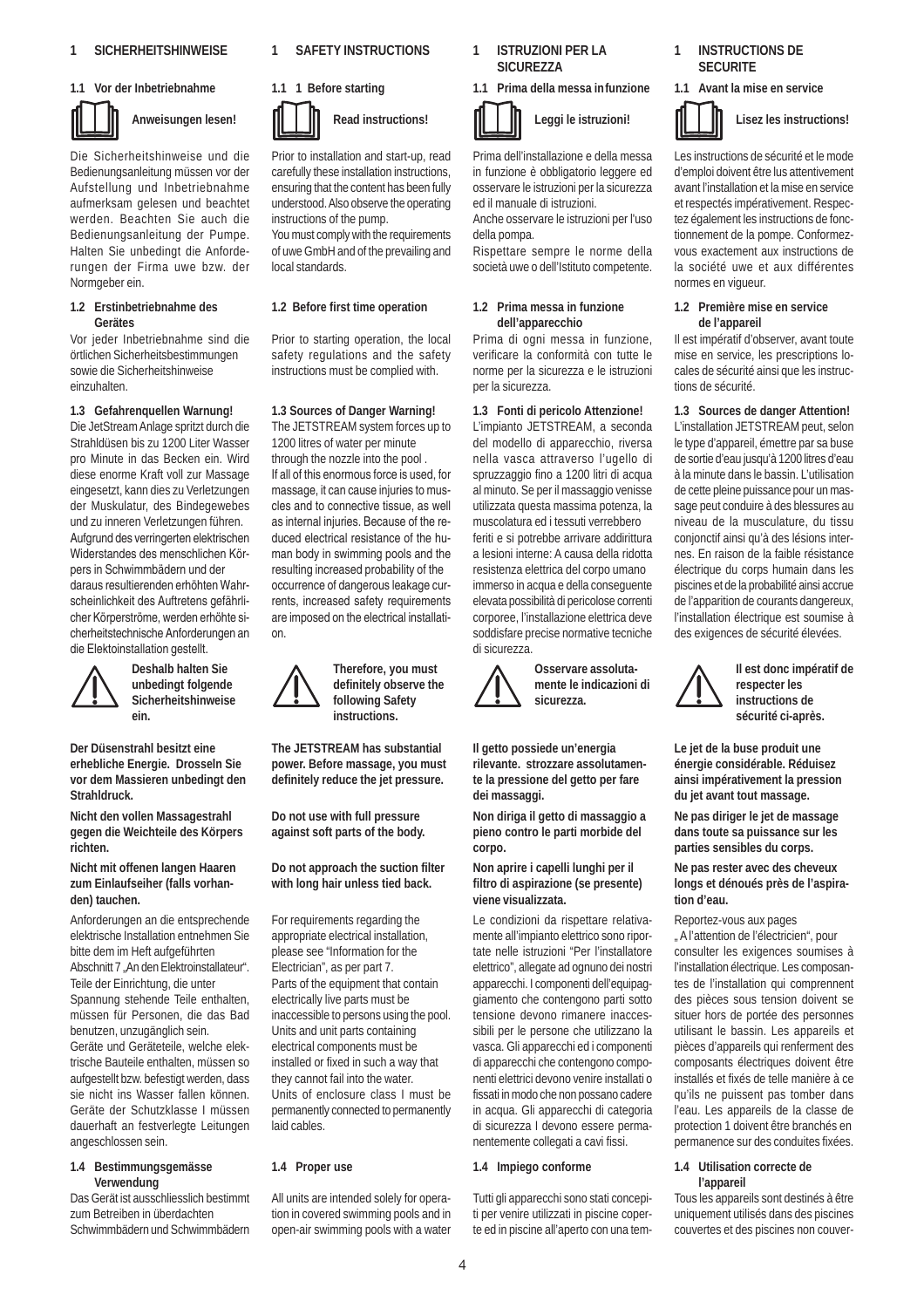#### **1.1 Vor der Inbetriebnahme**



**Anweisungen lesen!**

Die Sicherheitshinweise und die Bedienungsanleitung müssen vor der Aufstellung und Inbetriebnahme aufmerksam gelesen und beachtet werden. Beachten Sie auch die Bedienungsanleitung der Pumpe. Halten Sie unbedingt die Anforderungen der Firma uwe bzw. der Normgeber ein.

#### **1.2 Erstinbetriebnahme des Gerätes**

Vor jeder Inbetriebnahme sind die örtlichen Sicherheitsbestimmungen sowie die Sicherheitshinweise einzuhalten.

#### **1.3 Gefahrenquellen Warnung!**

Die JetStream Anlage spritzt durch die Strahldüsen bis zu 1200 Liter Wasser pro Minute in das Becken ein. Wird diese enorme Kraft voll zur Massage eingesetzt, kann dies zu Verletzungen der Muskulatur, des Bindegewebes und zu inneren Verletzungen führen. Aufgrund des verringerten elektrischen Widerstandes des menschlichen Körpers in Schwimmbädern und der daraus resultierenden erhöhten Wahrscheinlichkeit des Auftretens gefährlicher Körperströme, werden erhöhte sicherheitstechnische Anforderungen an die Elektoinstallation gestellt.



**Deshalb halten Sie unbedingt folgende Sicherheitshinweise ein.**

**Der Düsenstrahl besitzt eine erhebliche Energie. Drosseln Sie vor dem Massieren unbedingt den Strahldruck.**

**Nicht den vollen Massagestrahl gegen die Weichteile des Körpers richten.**

**Nicht mit offenen langen Haaren zum Einlaufseiher (falls vorhanden) tauchen.**

Anforderungen an die entsprechende elektrische Installation entnehmen Sie bitte dem im Heft aufgeführten Abschnitt 7 "An den Elektroinstallateur". Teile der Einrichtung, die unter Spannung stehende Teile enthalten, müssen für Personen, die das Bad benutzen, unzugänglich sein. Geräte und Geräteteile, welche elektrische Bauteile enthalten, müssen so aufgestellt bzw. befestigt werden, dass sie nicht ins Wasser fallen können. Geräte der Schutzklasse I müssen dauerhaft an festverlegte Leitungen angeschlossen sein.

#### **1.4 Bestimmungsgemässe Verwendung**

Das Gerät ist ausschliesslich bestimmt zum Betreiben in überdachten Schwimmbädern und Schwimmbädern

#### **1 SAFETY INSTRUCTIONS**



**Read instructions!** Prior to installation and start-up, read carefully these installation instructions,

ensuring that the content has been fully understood. Also observe the operating instructions of the pump. You must comply with the requirements

of uwe GmbH and of the prevailing and local standards.

#### **1.2 Before first time operation**

Prior to starting operation, the local safety regulations and the safety instructions must be complied with.

#### **1.3 Sources of Danger Warning!**

The JETSTREAM system forces up to 1200 litres of water per minute through the nozzle into the pool . If all of this enormous force is used, for massage, it can cause injuries to muscles and to connective tissue, as well as internal injuries. Because of the reduced electrical resistance of the human body in swimming pools and the resulting increased probability of the occurrence of dangerous leakage currents, increased safety requirements are imposed on the electrical installation.

> **Therefore, you must definitely observe the following Safety instructions.**

**The JETSTREAM has substantial power. Before massage, you must definitely reduce the jet pressure.**

**Do not use with full pressure against soft parts of the body.**

**Do not approach the suction filter with long hair unless tied back.**

For requirements regarding the appropriate electrical installation, please see "Information for the Electrician", as per part 7. Parts of the equipment that contain electrically live parts must be inaccessible to persons using the pool. Units and unit parts containing electrical components must be installed or fixed in such a way that they cannot fail into the water. Units of enclosure class I must be permanently connected to permanently laid cables.

#### **1.4 Proper use**

All units are intended solely for operation in covered swimming pools and in open-air swimming pools with a water

**1 ISTRUZIONI PER LA SICUREZZA**

#### **1.1 Prima della messa infunzione**

**Leggi le istruzioni!**

Prima dell'installazione e della messa in funzione è obbligatorio leggere ed osservare le istruzioni per la sicurezza ed il manuale di istruzioni.

Anche osservare le istruzioni per l'uso della pompa.

Rispettare sempre le norme della società uwe o dell'Istituto competente.

#### **1.2 Prima messa in funzione dell'apparecchio**

Prima di ogni messa in funzione, verificare la conformità con tutte le norme per la sicurezza e le istruzioni per la sicurezza.

#### **1.3 Fonti di pericolo Attenzione!**

L'impianto JETSTREAM, a seconda del modello di apparecchio, riversa nella vasca attraverso l'ugello di spruzzaggio fino a 1200 litri di acqua al minuto. Se per il massaggio venisse utilizzata questa massima potenza, la muscolatura ed i tessuti verrebbero feriti e si potrebbe arrivare addirittura a lesioni interne: A causa della ridotta resistenza elettrica del corpo umano immerso in acqua e della conseguente elevata possibilità di pericolose correnti corporee, l'installazione elettrica deve soddisfare precise normative tecniche di sicurezza.



**Osservare assolutamente le indicazioni di sicurezza.**

**Il getto possiede un'energia rilevante. strozzare assolutamente la pressione del getto per fare dei massaggi.**

**Non diriga il getto di massaggio a pieno contro le parti morbide del corpo.**

**Non aprire i capelli lunghi per il filtro di aspirazione (se presente) viene visualizzata.**

Le condizioni da rispettare relativamente all'impianto elettrico sono riportate nelle istruzioni "Per l'installatore elettrico", allegate ad ognuno dei nostri apparecchi. I componenti dell'equipaggiamento che contengono parti sotto tensione devono rimanere inaccessibili per le persone che utilizzano la vasca. Gli apparecchi ed i componenti di apparecchi che contengono componenti elettrici devono venire installati o fissati in modo che non possano cadere in acqua. Gli apparecchi di categoria di sicurezza I devono essere permanentemente collegati a cavi fissi.

#### **1.4 Impiego conforme**

Tutti gli apparecchi sono stati concepiti per venire utilizzati in piscine coperte ed in piscine all'aperto con una tem-

#### **1 INSTRUCTIONS DE SECURITE**

**1.1 Avant la mise en service**



Les instructions de sécurité et le mode d'emploi doivent être lus attentivement avant l'installation et la mise en service et respectés impérativement. Respectez également les instructions de fonctionnement de la pompe. Conformezvous exactement aux instructions de la société uwe et aux différentes normes en vigueur.

#### **1.2 Première mise en service de l'appareil**

Il est impératif d'observer, avant toute mise en service, les prescriptions locales de sécurité ainsi que les instructions de sécurité.

**1.3 Sources de danger Attention!** L'installation JETSTREAM peut, selon le type d'appareil, émettre par sa buse de sortie d'eau jusqu'à 1200 litres d'eau à la minute dans le bassin. L'utilisation de cette pleine puissance pour un massage peut conduire à des blessures au niveau de la musculature, du tissu conjonctif ainsi qu'à des lésions internes. En raison de la faible résistance électrique du corps humain dans les piscines et de la probabilité ainsi accrue de l'apparition de courants dangereux, l'installation électrique est soumise à des exigences de sécurité élevées.



**Il est donc impératif de respecter les instructions de sécurité ci-après.**

**Le jet de la buse produit une énergie considérable. Réduisez ainsi impérativement la pression du jet avant tout massage.**

**Ne pas diriger le jet de massage dans toute sa puissance sur les parties sensibles du corps.**

**Ne pas rester avec des cheveux longs et dénoués près de l'aspiration d'eau.**

Reportez-vous aux pages " A l'attention de l'électricien", pour consulter les exigences soumises à l'installation électrique. Les composantes de l'installation qui comprennent des pièces sous tension doivent se situer hors de portée des personnes utilisant le bassin. Les appareils et pièces d'appareils qui renferment des composants électriques doivent être installés et fixés de telle manière à ce qu'ils ne puissent pas tomber dans l'eau. Les appareils de la classe de protection 1 doivent être branchés en permanence sur des conduites fixées.

#### **1.4 Utilisation correcte de l'appareil**

Tous les appareils sont destinés à être uniquement utilisés dans des piscines couvertes et des piscines non couver-

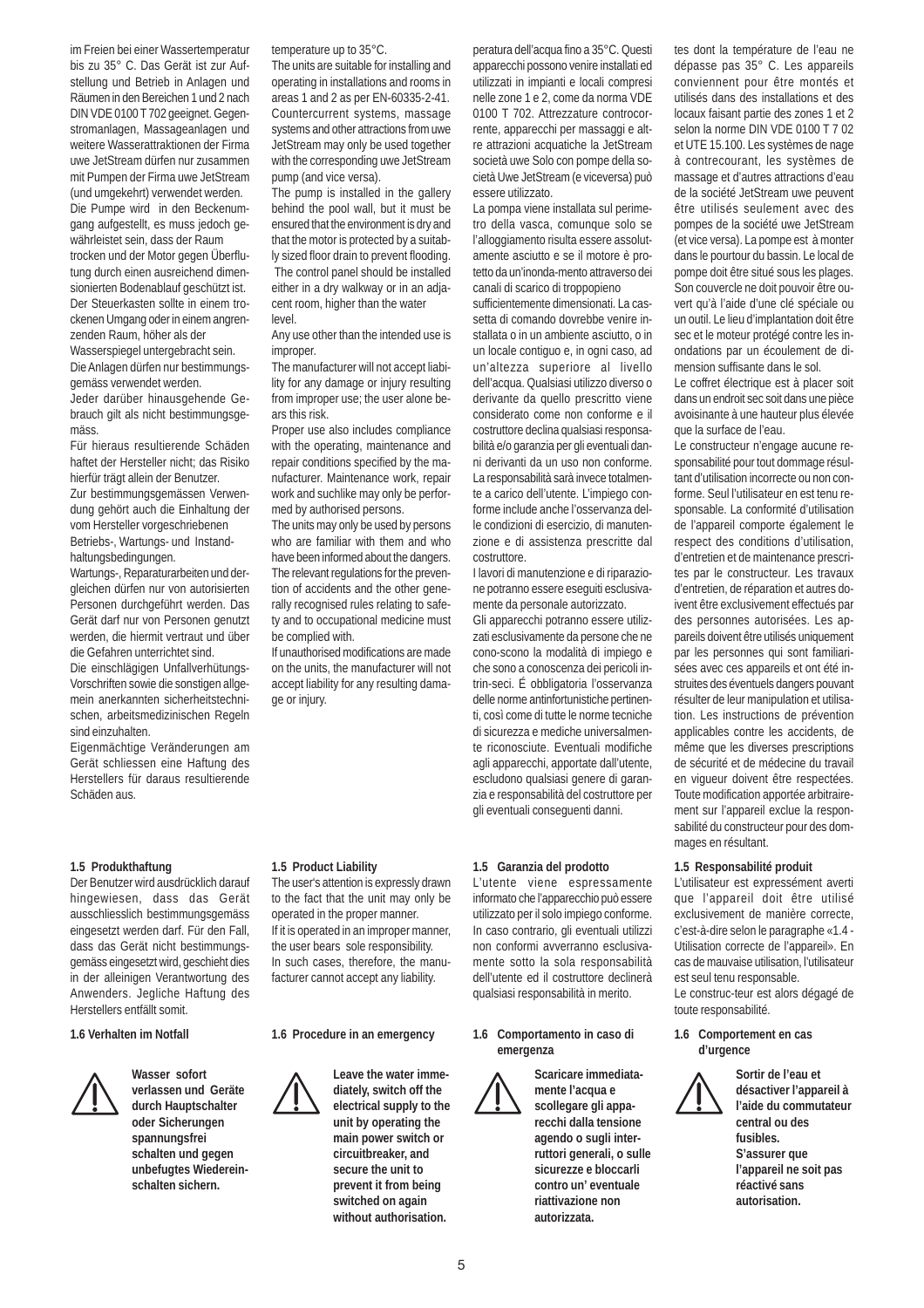im Freien bei einer Wassertemperatur bis zu 35° C. Das Gerät ist zur Aufstellung und Betrieb in Anlagen und Räumen in den Bereichen 1 und 2 nach DIN VDE 0100 T 702 geeignet. Gegenstromanlagen, Massageanlagen und weitere Wasserattraktionen der Firma uwe JetStream dürfen nur zusammen mit Pumpen der Firma uwe JetStream (und umgekehrt) verwendet werden. Die Pumpe wird in den Beckenumgang aufgestellt, es muss jedoch gewährleistet sein, dass der Raum trocken und der Motor gegen Überflutung durch einen ausreichend dimen-

sionierten Bodenablauf geschützt ist. Der Steuerkasten sollte in einem trockenen Umgang oder in einem angrenzenden Raum, höher als der Wasserspiegel untergebracht sein. Die Anlagen dürfen nur bestimmungsgemäss verwendet werden.

Jeder darüber hinausgehende Gebrauch gilt als nicht bestimmungsgemäss.

Für hieraus resultierende Schäden haftet der Hersteller nicht; das Risiko hierfür trägt allein der Benutzer. Zur bestimmungsgemässen Verwen-

dung gehört auch die Einhaltung der vom Hersteller vorgeschriebenen Betriebs-, Wartungs- und Instandhaltungsbedingungen.

Wartungs-, Reparaturarbeiten und dergleichen dürfen nur von autorisierten Personen durchgeführt werden. Das Gerät darf nur von Personen genutzt werden, die hiermit vertraut und über die Gefahren unterrichtet sind.

Die einschlägigen Unfallverhütungs-Vorschriften sowie die sonstigen allgemein anerkannten sicherheitstechnischen, arbeitsmedizinischen Regeln sind einzuhalten.

Eigenmächtige Veränderungen am Gerät schliessen eine Haftung des Herstellers für daraus resultierende Schäden aus.

#### **1.5 Produkthaftung**

Der Benutzer wird ausdrücklich darauf hingewiesen, dass das Gerät ausschliesslich bestimmungsgemäss eingesetzt werden darf. Für den Fall, dass das Gerät nicht bestimmungsgemäss eingesetzt wird, geschieht dies in der alleinigen Verantwortung des Anwenders. Jegliche Haftung des Herstellers entfällt somit.

#### **1.6 Verhalten im Notfall**



**Wasser sofort verlassen und Geräte durch Hauptschalter oder Sicherungen spannungsfrei schalten und gegen unbefugtes Wiedereinschalten sichern.**

temperature up to 35°C.

The units are suitable for installing and operating in installations and rooms in areas 1 and 2 as per EN-60335-2-41. Countercurrent systems, massage systems and other attractions from uwe JetStream may only be used together with the corresponding uwe JetStream pump (and vice versa).

The pump is installed in the gallery behind the pool wall, but it must be ensured that the environment is dry and that the motor is protected by a suitably sized floor drain to prevent flooding. The control panel should be installed either in a dry walkway or in an adjacent room, higher than the water level.

Any use other than the intended use is improper.

The manufacturer will not accept liability for any damage or injury resulting from improper use; the user alone bears this risk.

Proper use also includes compliance with the operating, maintenance and repair conditions specified by the manufacturer. Maintenance work, repair work and suchlike may only be performed by authorised persons.

The units may only be used by persons who are familiar with them and who have been informed about the dangers. The relevant regulations for the prevention of accidents and the other generally recognised rules relating to safety and to occupational medicine must be complied with.

If unauthorised modifications are made on the units, the manufacturer will not accept liability for any resulting damage or injury.

peratura dell'acqua fino a 35°C. Questi apparecchi possono venire installati ed utilizzati in impianti e locali compresi nelle zone 1 e 2, come da norma VDE 0100 T 702. Attrezzature controcorrente, apparecchi per massaggi e altre attrazioni acquatiche la JetStream società uwe Solo con pompe della società Uwe JetStream (e viceversa) può essere utilizzato.

La pompa viene installata sul perimetro della vasca, comunque solo se l'alloggiamento risulta essere assolutamente asciutto e se il motore è protetto da un'inonda-mento attraverso dei canali di scarico di troppopieno

sufficientemente dimensionati. La cassetta di comando dovrebbe venire installata o in un ambiente asciutto, o in un locale contiguo e, in ogni caso, ad un'altezza superiore al livello dell'acqua. Qualsiasi utilizzo diverso o derivante da quello prescritto viene considerato come non conforme e il costruttore declina qualsiasi responsabilità e/o garanzia per gli eventuali danni derivanti da un uso non conforme. La responsabilità sarà invece totalmente a carico dell'utente. L'impiego conforme include anche l'osservanza delle condizioni di esercizio, di manutenzione e di assistenza prescritte dal costruttore.

I lavori di manutenzione e di riparazione potranno essere eseguiti esclusivamente da personale autorizzato.

Gli apparecchi potranno essere utilizzati esclusivamente da persone che ne cono-scono la modalità di impiego e che sono a conoscenza dei pericoli intrin-seci. É obbligatoria l'osservanza delle norme antinfortunistiche pertinenti, così come di tutte le norme tecniche di sicurezza e mediche universalmente riconosciute. Eventuali modifiche agli apparecchi, apportate dall'utente, escludono qualsiasi genere di garanzia e responsabilità del costruttore per gli eventuali conseguenti danni.

utilisés dans des installations et des locaux faisant partie des zones 1 et 2 selon la norme DIN VDE 0100 T 7 02 et UTE 15.100. Les systèmes de nage à contrecourant, les systèmes de massage et d'autres attractions d'eau de la société JetStream uwe peuvent être utilisés seulement avec des pompes de la société uwe JetStream (et vice versa). La pompe est à monter dans le pourtour du bassin. Le local de pompe doit être situé sous les plages. Son couvercle ne doit pouvoir être ouvert qu'à l'aide d'une clé spéciale ou un outil. Le lieu d'implantation doit être sec et le moteur protégé contre les inondations par un écoulement de dimension suffisante dans le sol.

tes dont la température de l'eau ne dépasse pas 35° C. Les appareils conviennent pour être montés et

Le coffret électrique est à placer soit dans un endroit sec soit dans une pièce avoisinante à une hauteur plus élevée que la surface de l'eau.

Le constructeur n'engage aucune responsabilité pour tout dommage résultant d'utilisation incorrecte ou non conforme. Seul l'utilisateur en est tenu responsable. La conformité d'utilisation de l'appareil comporte également le respect des conditions d'utilisation, d'entretien et de maintenance prescrites par le constructeur. Les travaux d'entretien, de réparation et autres doivent être exclusivement effectués par des personnes autorisées. Les appareils doivent être utilisés uniquement par les personnes qui sont familiarisées avec ces appareils et ont été instruites des éventuels dangers pouvant résulter de leur manipulation et utilisation. Les instructions de prévention applicables contre les accidents, de même que les diverses prescriptions de sécurité et de médecine du travail en vigueur doivent être respectées. Toute modification apportée arbitrairement sur l'appareil exclue la responsabilité du constructeur pour des dommages en résultant.

#### **1.5 Responsabilité produit**

L'utilisateur est expressément averti que l'appareil doit être utilisé exclusivement de manière correcte, c'est-à-dire selon le paragraphe «1.4 - Utilisation correcte de l'appareil». En cas de mauvaise utilisation, l'utilisateur est seul tenu responsable. Le construc-teur est alors dégagé de toute responsabilité.

#### **1.6 Comportement en cas d'urgence**



**Sortir de l'eau et désactiver l'appareil à l'aide du commutateur central ou des fusibles. S'assurer que l'appareil ne soit pas réactivé sans autorisation.**

## to the fact that the unit may only be

**1.5 Product Liability**

operated in the proper manner. If it is operated in an improper manner, the user bears sole responsibility. In such cases, therefore, the manufacturer cannot accept any liability.

The user's attention is expressly drawn

**1.6 Procedure in an emergency**

**Leave the water immediately, switch off the electrical supply to the unit by operating the main power switch or circuitbreaker, and secure the unit to prevent it from being switched on again without authorisation.**

#### **1.5 Garanzia del prodotto**

L'utente viene espressamente informato che l'apparecchio può essere utilizzato per il solo impiego conforme. In caso contrario, gli eventuali utilizzi non conformi avverranno esclusivamente sotto la sola responsabilità dell'utente ed il costruttore declinerà qualsiasi responsabilità in merito.

**1.6 Comportamento in caso di emergenza**

> **Scaricare immediatamente l'acqua e scollegare gli apparecchi dalla tensione agendo o sugli interruttori generali, o sulle sicurezze e bloccarli contro un' eventuale riattivazione non autorizzata.**

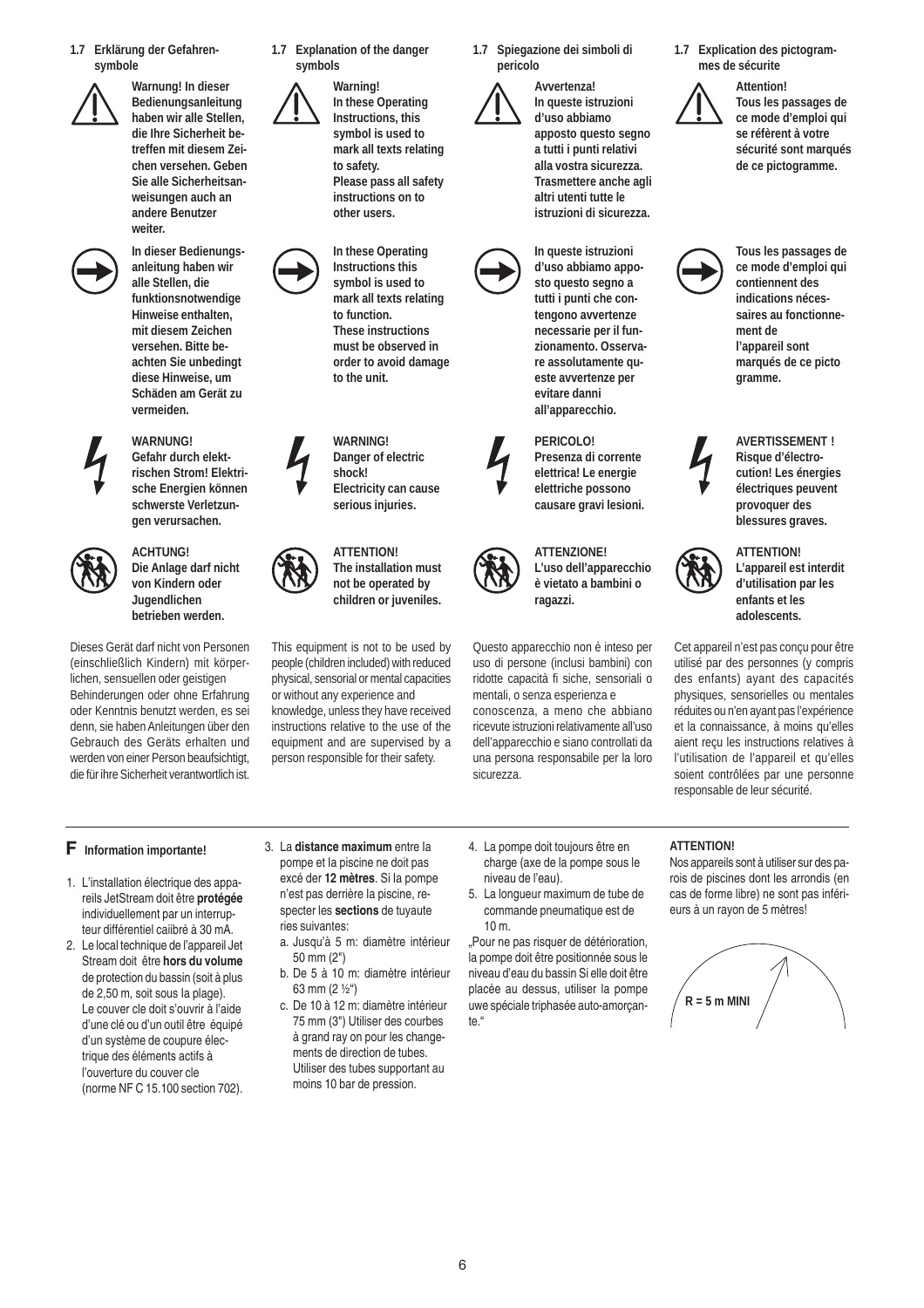**1.7 Erklärung der Gefahrensymbole**



**Warnung! In dieser Bedienungsanleitung haben wir alle Stellen, die Ihre Sicherheit betreffen mit diesem Zeichen versehen. Geben Sie alle Sicherheitsanweisungen auch an andere Benutzer weiter.**



**In dieser Bedienungsanleitung haben wir alle Stellen, die funktionsnotwendige Hinweise enthalten, mit diesem Zeichen versehen. Bitte beachten Sie unbedingt diese Hinweise, um Schäden am Gerät zu vermeiden.**



#### **WARNUNG! Gefahr durch elektrischen Strom! Elektrische Energien können schwerste Verletzun-**

**gen verursachen.**



**ACHTUNG! Die Anlage darf nicht von Kindern oder Jugendlichen betrieben werden.**

Dieses Gerät darf nicht von Personen (einschließlich Kindern) mit körperlichen, sensuellen oder geistigen Behinderungen oder ohne Erfahrung oder Kenntnis benutzt werden, es sei denn, sie haben Anleitungen über den Gebrauch des Geräts erhalten und werden von einer Person beaufsichtigt, die für ihre Sicherheit verantwortlich ist.

**1.7 Explanation of the danger symbols**

> **Warning! In these Operating Instructions, this symbol is used to mark all texts relating to safety. Please pass all safety instructions on to other users.**

**In these Operating Instructions this symbol is used to mark all texts relating to function. These instructions must be observed in order to avoid damage to the unit.**

**WARNING! Danger of electric shock! Electricity can cause serious injuries.**



**not be operated by children or juveniles.**

This equipment is not to be used by people (children included) with reduced physical, sensorial or mental capacities or without any experience and knowledge, unless they have received instructions relative to the use of the equipment and are supervised by a person responsible for their safety.

**1.7 Spiegazione dei simboli di pericolo**



**Avvertenza! In queste istruzioni d'uso abbiamo apposto questo segno a tutti i punti relativi alla vostra sicurezza. Trasmettere anche agli altri utenti tutte le istruzioni di sicurezza.**



**PERICOLO! Presenza di corrente elettrica! Le energie elettriche possono causare gravi lesioni.**



**ATTENZIONE! L'uso dell'apparecchio è vietato a bambini o ragazzi.**

Questo apparecchio non è inteso per uso di persone (inclusi bambini) con ridotte capacità fi siche, sensoriali o mentali, o senza esperienza e conoscenza, a meno che abbiano ricevute istruzioni relativamente all'uso dell'apparecchio e siano controllati da una persona responsabile per la loro sicurezza.



**Tous les passages de ce mode d'emploi qui se réfèrent à votre sécurité sont marqués de ce pictogramme.**



**Tous les passages de ce mode d'emploi qui contiennent des indications nécessaires au fonctionnement de l'appareil sont marqués de ce picto gramme.**



**AVERTISSEMENT ! Risque d'électrocution! Les énergies électriques peuvent provoquer des blessures graves.**



**ATTENTION! L'appareil est interdit d'utilisation par les enfants et les adolescents.**

Cet appareil n'est pas conçu pour être utilisé par des personnes (y compris des enfants) ayant des capacités physiques, sensorielles ou mentales réduites ou n'en ayant pas l'expérience et la connaissance, à moins qu'elles aient reçu les instructions relatives à l'utilisation de l'appareil et qu'elles soient contrôlées par une personne responsable de leur sécurité.

- 1. L'installation électrique des appareils JetStream doit être **protégée** individuellement par un interrupteur différentiel caiibré à 30 mA.
- 2. Le local technique de l'appareil Jet Stream doit être **hors du volume** de protection du bassin (soit à plus de 2,50 m, soit sous Ia plage). Le couver cle doit s'ouvrir à l'aide d'une clé ou d'un outil être équipé d'un système de coupure électrique des éléments actifs à l'ouverture du couver cle (norme NF C 15.100 section 702).
- 3. La **distance maximum** entre Ia pompe et Ia piscine ne doit pas excé der **12 mètres**. Si Ia pompe n'est pas derrière Ia piscine, respecter les **sections** de tuyaute ries suivantes:
	- a. Jusqu'à 5 m: diamètre intérieur 50 mm (2")
	- b. De 5 à 10 m: diamètre intérieur 63 mm (2 ½")
	- c. De 10 à 12 m: diamètre intérieur 75 mm (3") Utiliser des courbes à grand ray on pour les changements de direction de tubes. Utiliser des tubes supportant au moins 10 bar de pression.
- **F** Information importante! 3. La distance maximum entre la 4. La pompe doit toujours être en charge (axe de la pompe sous le niveau de l'eau).
	- 5. La longueur maximum de tube de commande pneumatique est de 10 m.

"Pour ne pas risquer de détérioration, la pompe doit être positionnée sous le niveau d'eau du bassin Si elle doit être placée au dessus, utiliser la pompe uwe spéciale triphasée auto-amorçante."

#### **ATTENTION!**

Nos appareils sont à utiliser sur des parois de piscines dont les arrondis (en cas de forme libre) ne sont pas inférieurs à un rayon de 5 mètres!





6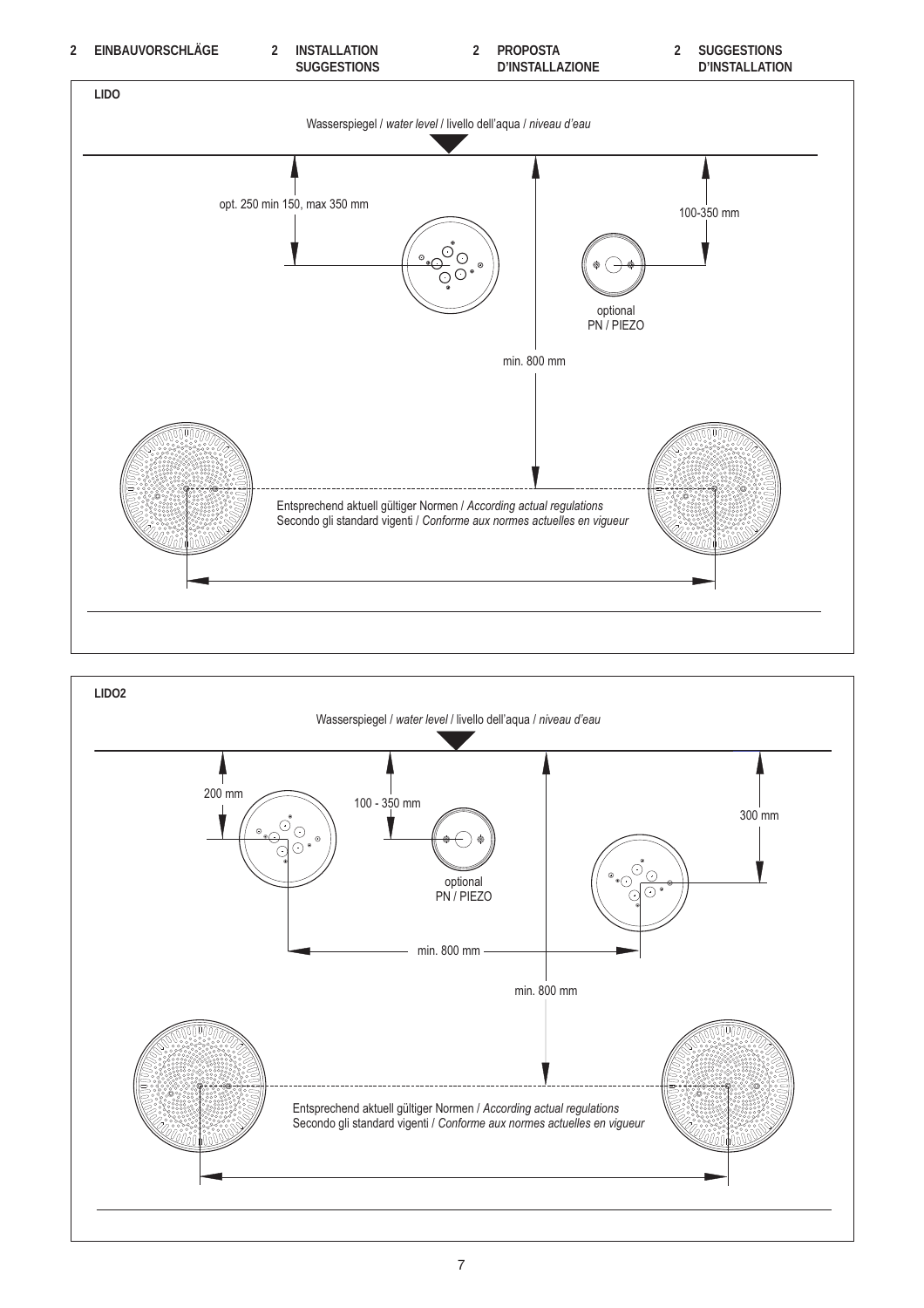

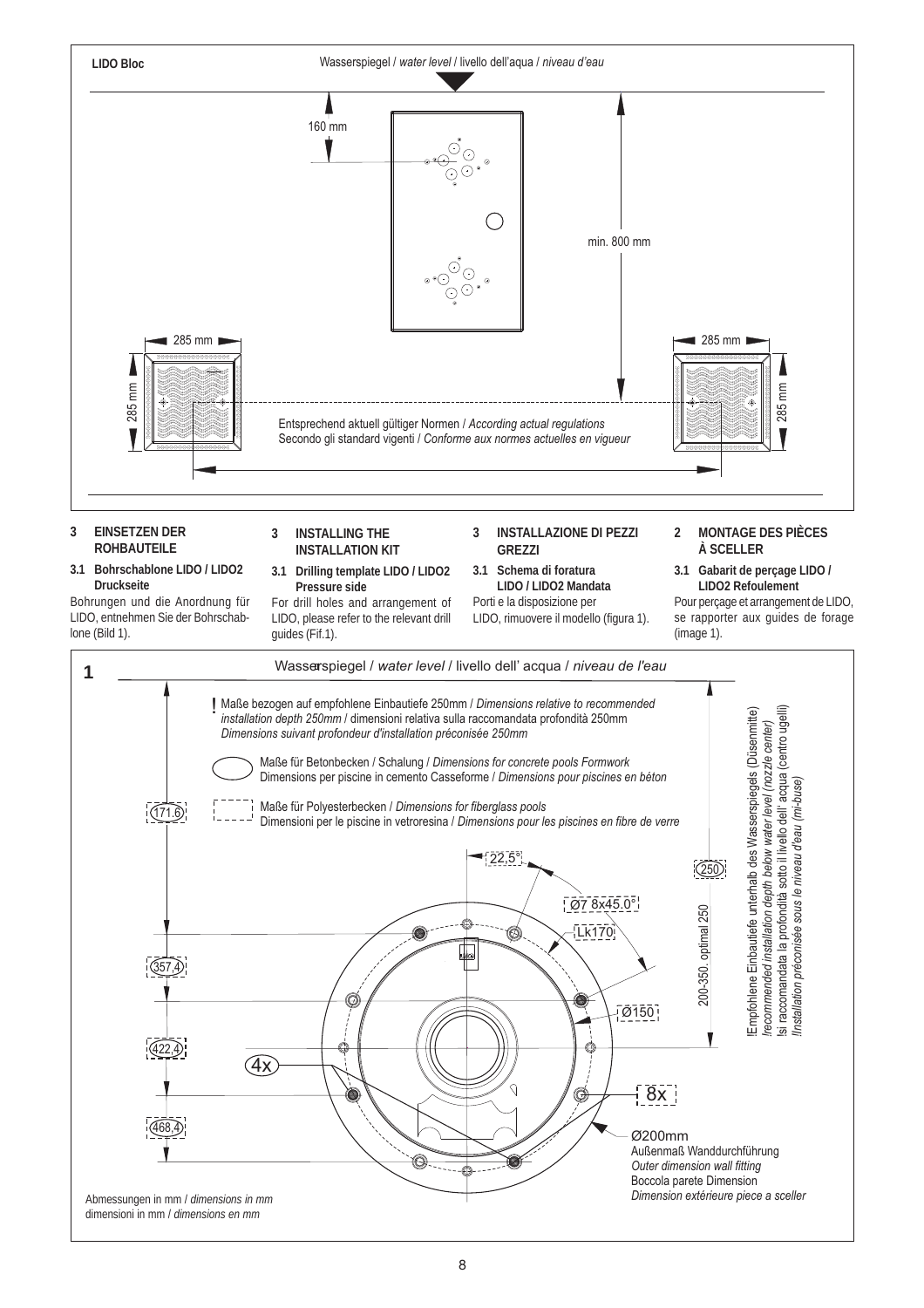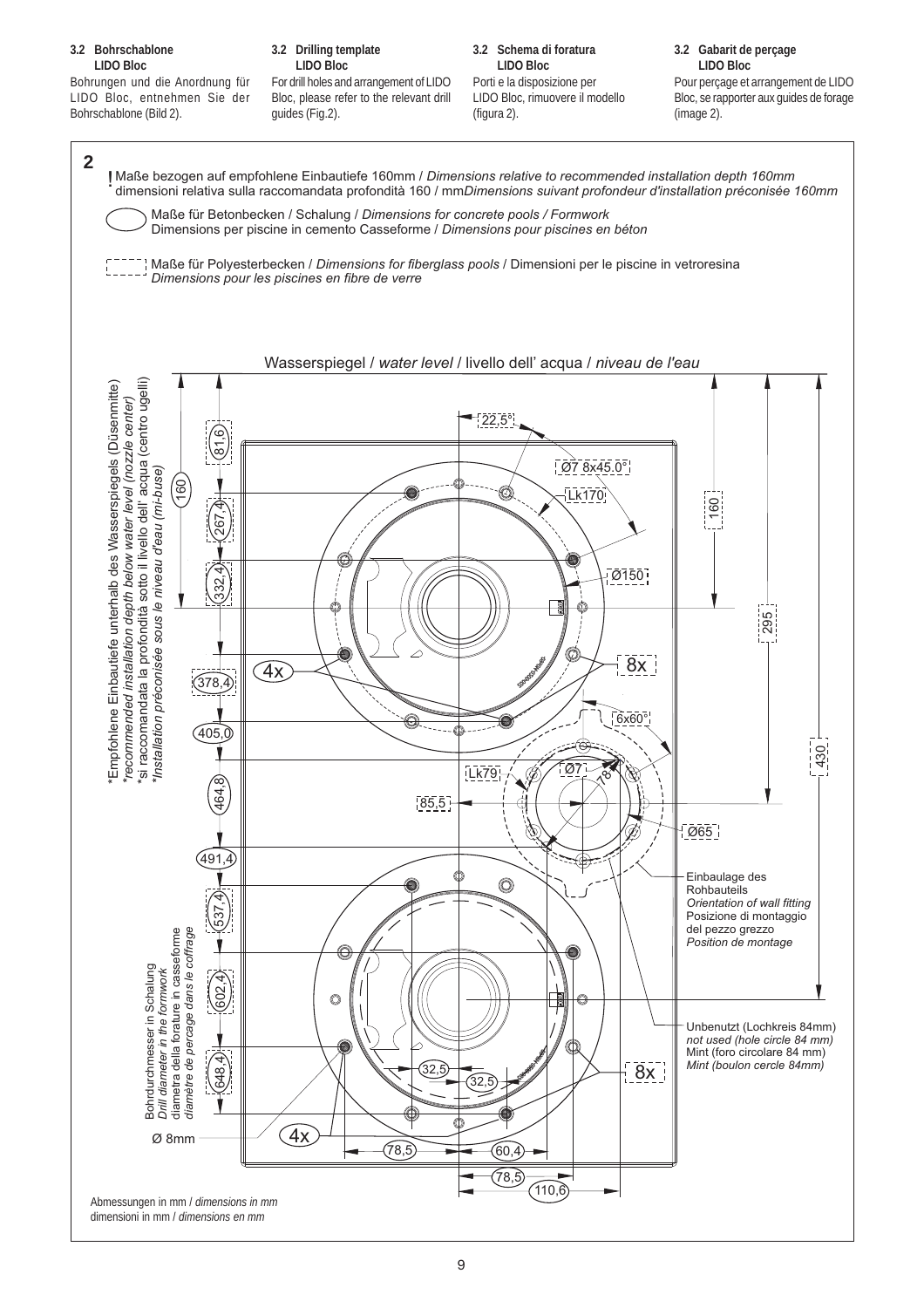#### **3.2 Bohrschablone LIDO Bloc**

Bohrungen und die Anordnung für LIDO Bloc, entnehmen Sie der Bohrschablone (Bild 2).

#### **3.2 Drilling template LIDO Bloc**

For drill holes and arrangement of LIDO Bloc, please refer to the relevant drill guides (Fig.2).

**3.2 Schema di foratura LIDO Bloc**

Porti e la disposizione per LIDO Bloc, rimuovere il modello (figura 2).

**3.2 Gabarit de perçage LIDO Bloc**

Pour perçage et arrangement de LIDO Bloc, se rapporter aux guides de forage (image 2).

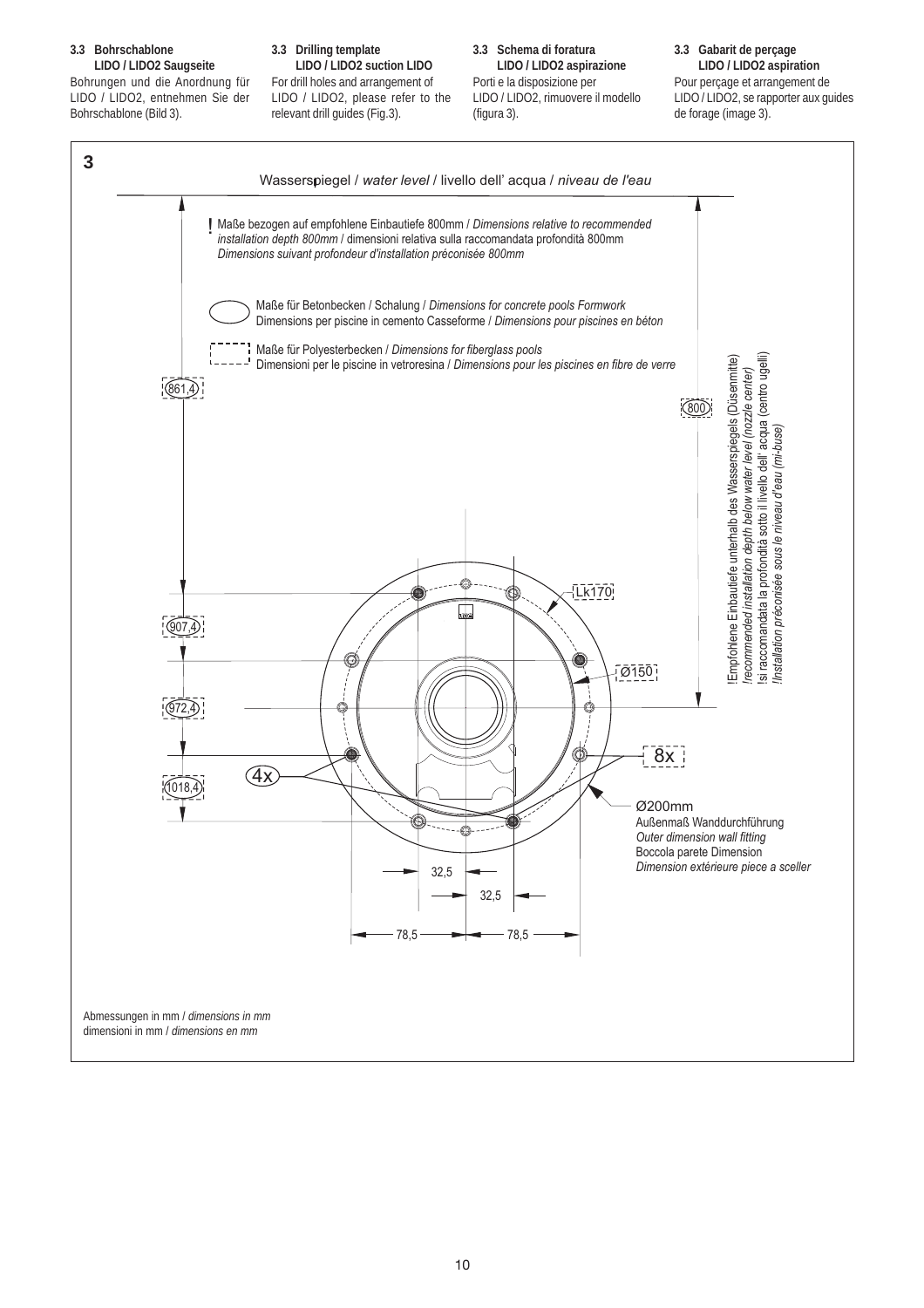#### **3.3 Bohrschablone LIDO / LIDO2 Saugseite**

Bohrungen und die Anordnung für LIDO / LIDO2, entnehmen Sie der Bohrschablone (Bild 3).

#### **3.3 Drilling template**

**LIDO / LIDO2 suction LIDO** For drill holes and arrangement of LIDO / LIDO2, please refer to the relevant drill guides (Fig.3).

#### **3.3 Schema di foratura LIDO / LIDO2 aspirazione** Porti e la disposizione per LIDO / LIDO2, rimuovere il modello (figura 3).

#### **3.3 Gabarit de perçage LIDO / LIDO2 aspiration**

Pour perçage et arrangement de LIDO / LIDO2, se rapporter aux guides de forage (image 3).

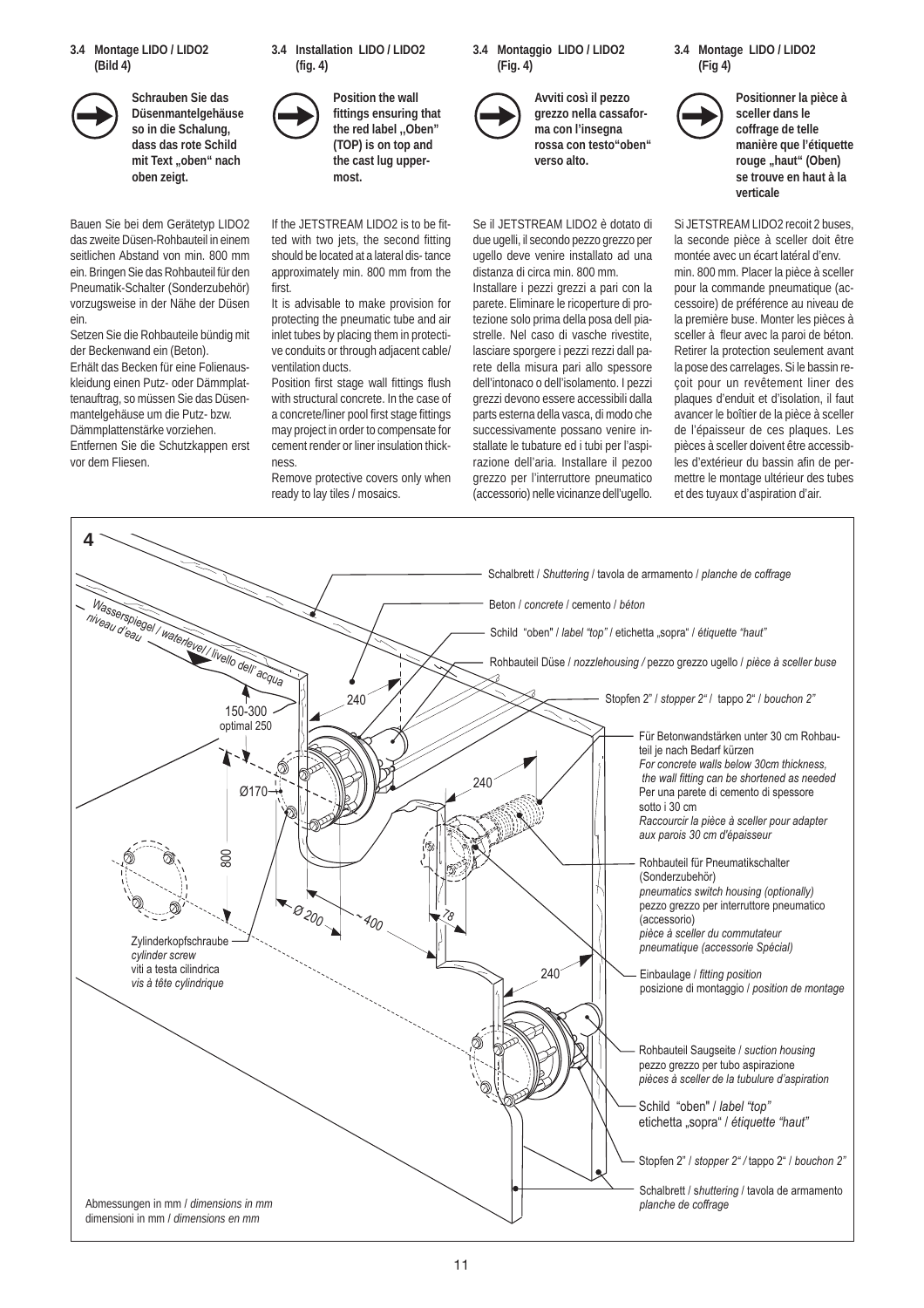**3.4 Montage LIDO / LIDO2 (Bild 4)**



**Schrauben Sie das Düsenmantelgehäuse so in die Schalung, dass das rote Schild** mit Text "oben" nach **oben zeigt.**

Bauen Sie bei dem Gerätetyp LIDO2 das zweite Düsen-Rohbauteil in einem seitlichen Abstand von min. 800 mm ein. Bringen Sie das Rohbauteil für den Pneumatik-Schalter (Sonderzubehör) vorzugsweise in der Nähe der Düsen ein.

Setzen Sie die Rohbauteile bündig mit der Beckenwand ein (Beton). Erhält das Becken für eine Folienauskleidung einen Putz- oder Dämmplattenauftrag, so müssen Sie das Düsenmantelgehäuse um die Putz- bzw. Dämmplattenstärke vorziehen. Entfernen Sie die Schutzkappen erst vor dem Fliesen.

**3.4 Installation LIDO / LIDO2 (fig. 4)**



**Position the wall fittings ensuring that the red label ,,Oben" (TOP) is on top and the cast lug uppermost.**

If the JETSTREAM LIDO2 is to be fitted with two jets, the second fitting should be located at a lateral dis- tance approximately min. 800 mm from the first.

It is advisable to make provision for protecting the pneumatic tube and air inlet tubes by placing them in protective conduits or through adjacent cable/ ventilation ducts.

Position first stage wall fittings flush with structural concrete. In the case of a concrete/liner pool first stage fittings may project in order to compensate for cement render or liner insulation thickness.

Remove protective covers only when ready to lay tiles / mosaics.

**3.4 Montaggio LIDO / LIDO2 (Fig. 4)**



**Avviti così il pezzo grezzo nella cassaforma con l'insegna rossa con testo"oben" verso alto.**

Se il JETSTREAM LIDO2 è dotato di due ugelli, il secondo pezzo grezzo per ugello deve venire installato ad una distanza di circa min. 800 mm.

Installare i pezzi grezzi a pari con la parete. Eliminare le ricoperture di protezione solo prima della posa dell piastrelle. Nel caso di vasche rivestite, lasciare sporgere i pezzi rezzi dall parete della misura pari allo spessore dell'intonaco o dell'isolamento. I pezzi grezzi devono essere accessibili dalla parts esterna della vasca, di modo che successivamente possano venire installate le tubature ed i tubi per l'aspirazione dell'aria. Installare il pezoo grezzo per l'interruttore pneumatico (accessorio) nelle vicinanze dell'ugello.





**Positionner la pièce à sceller dans le coffrage de telle manière que l'étiquette** rouge "haut" (Oben) **se trouve en haut à la verticale**

Si JETSTREAM LIDO2 recoit 2 buses, la seconde pièce à sceller doit être montée avec un écart latéral d'env. min. 800 mm. Placer la pièce à sceller pour la commande pneumatique (accessoire) de préférence au niveau de la première buse. Monter les pièces à sceller à fleur avec la paroi de béton. Retirer la protection seulement avant la pose des carrelages. Si le bassin reçoit pour un revêtement liner des plaques d'enduit et d'isolation, il faut avancer le boîtier de la pièce à sceller de l'épaisseur de ces plaques. Les pièces à sceller doivent être accessibles d'extérieur du bassin afin de permettre le montage ultérieur des tubes et des tuyaux d'aspiration d'air.

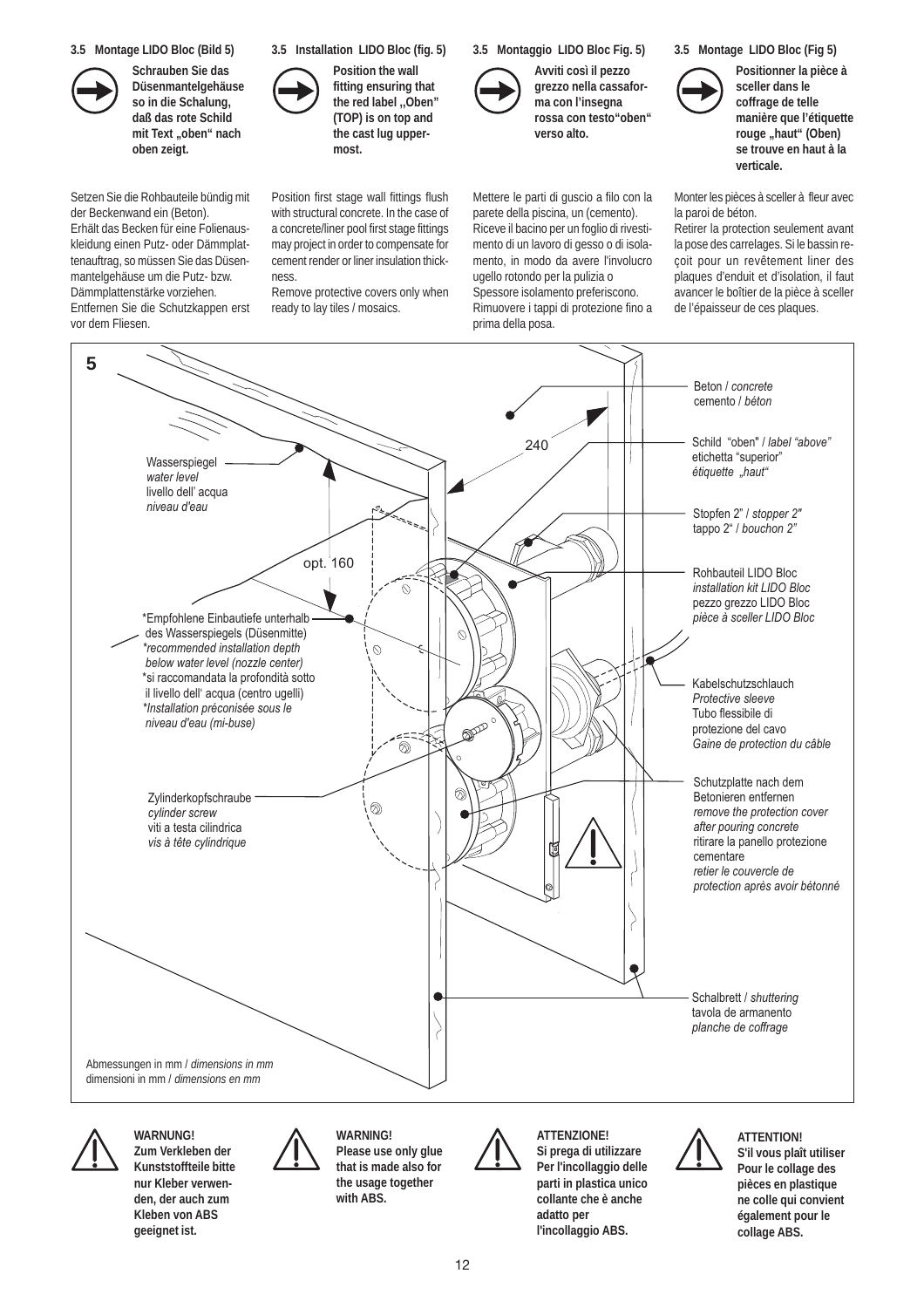**3.5 Montage LIDO Bloc (Bild 5)**



**Düsenmantelgehäuse so in die Schalung, daß das rote Schild** mit Text "oben" nach **oben zeigt.**

Setzen Sie die Rohbauteile bündig mit der Beckenwand ein (Beton). Erhält das Becken für eine Folienauskleidung einen Putz- oder Dämmplattenauftrag, so müssen Sie das Düsenmantelgehäuse um die Putz- bzw. Dämmplattenstärke vorziehen. Entfernen Sie die Schutzkappen erst vor dem Fliesen.



**Position the wall fitting ensuring that the red label ,,Oben" (TOP) is on top and the cast lug uppermost.**

Position first stage wall fittings flush with structural concrete. In the case of a concrete/liner pool first stage fittings may project in order to compensate for cement render or liner insulation thick-

Remove protective covers only when ready to lay tiles / mosaics.

ness.

**3.5 Montaggio LIDO Bloc Fig. 5)**



**Avviti così il pezzo grezzo nella cassaforma con l'insegna rossa con testo"oben" verso alto.**

Mettere le parti di guscio a filo con la parete della piscina, un (cemento). Riceve il bacino per un foglio di rivestimento di un lavoro di gesso o di isolamento, in modo da avere l'involucro ugello rotondo per la pulizia o Spessore isolamento preferiscono. Rimuovere i tappi di protezione fino a prima della posa.





**Positionner la pièce à sceller dans le coffrage de telle manière que l'étiquette** rouge "haut" (Oben) **se trouve en haut à la verticale.**

Monter les pièces à sceller à fleur avec la paroi de béton.

Retirer la protection seulement avant la pose des carrelages. Si le bassin reçoit pour un revêtement liner des plaques d'enduit et d'isolation, il faut avancer le boîtier de la pièce à sceller de l'épaisseur de ces plaques.





**WARNUNG! Zum Verkleben der Kunststoffteile bitte nur Kleber verwenden, der auch zum Kleben von ABS geeignet ist.**



**WARNING! Please use only glue that is made also for the usage together with ABS.**



**ATTENZIONE! Si prega di utilizzare Per l'incollaggio delle parti in plastica unico collante che è anche adatto per l'incollaggio ABS.**



**ATTENTION! S'il vous plaît utiliser Pour le collage des pièces en plastique ne colle qui convient également pour le collage ABS.**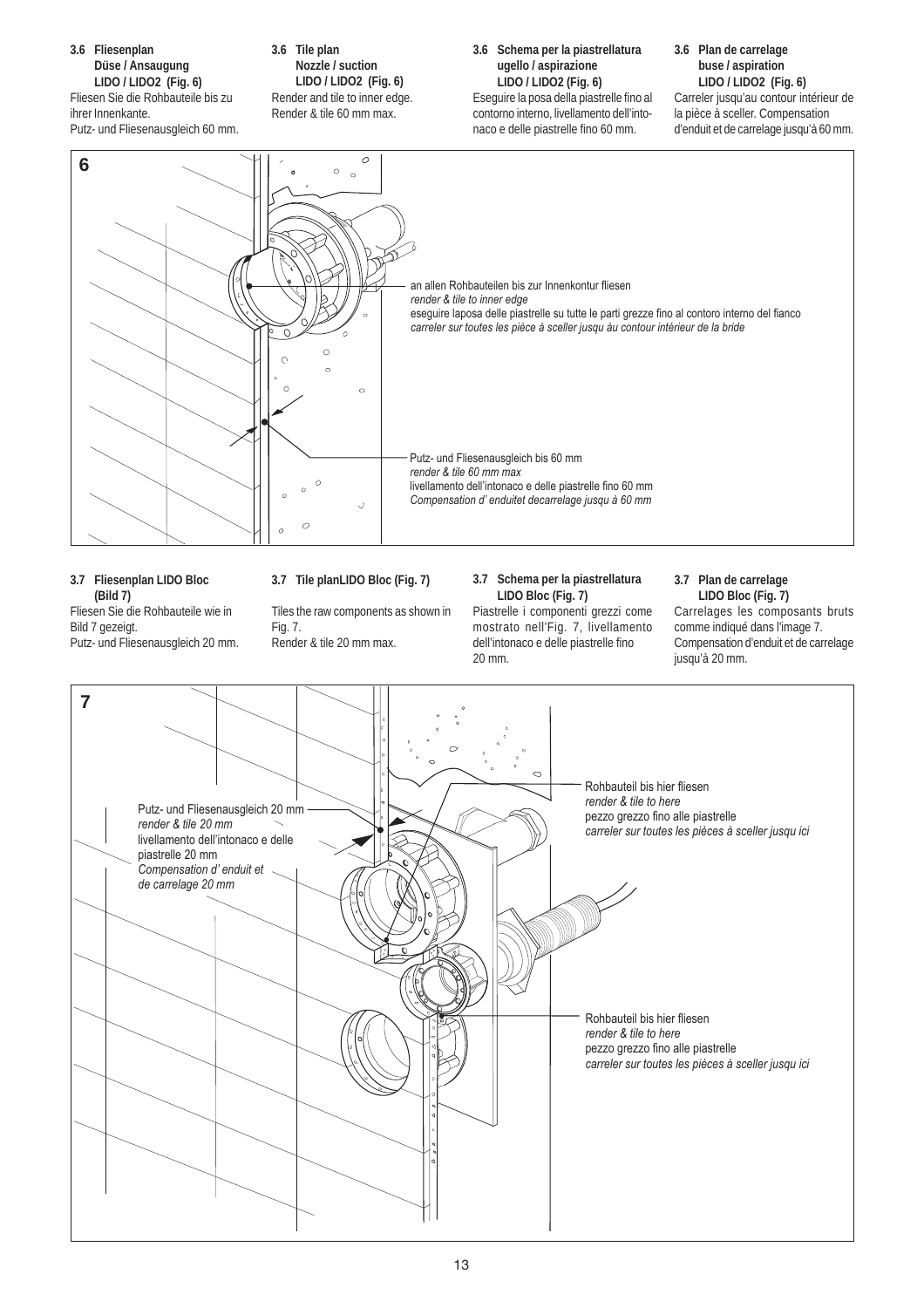

Putz- und Fliesenausgleich bis 60 mm

*render & tile 60 mm max*

livellamento dell'intonaco e delle piastrelle fino 60 mm

*Compensation d' enduitet decarrelage jusqu à 60 mm*

 $\circ$  $\overline{a}$ **3.7 Fliesenplan LIDO Bloc**

**(Bild 7)** Fliesen Sie die Rohbauteile wie in Bild 7 gezeigt. Putz- und Fliesenausgleich 20 mm.

#### **3.7 Tile planLIDO Bloc (Fig. 7)**

 $\cup$ 

Tiles the raw components as shown in Fig. 7.

Render & tile 20 mm max.

#### **3.7 Schema per la piastrellatura LIDO Bloc (Fig. 7)**

Piastrelle i componenti grezzi come mostrato nell'Fig. 7, livellamento dell'intonaco e delle piastrelle fino 20 mm.

#### **3.7 Plan de carrelage LIDO Bloc (Fig. 7)**

Carrelages les composants bruts comme indiqué dans l'image 7. Compensation d'enduit et de carrelage jusqu'à 20 mm.

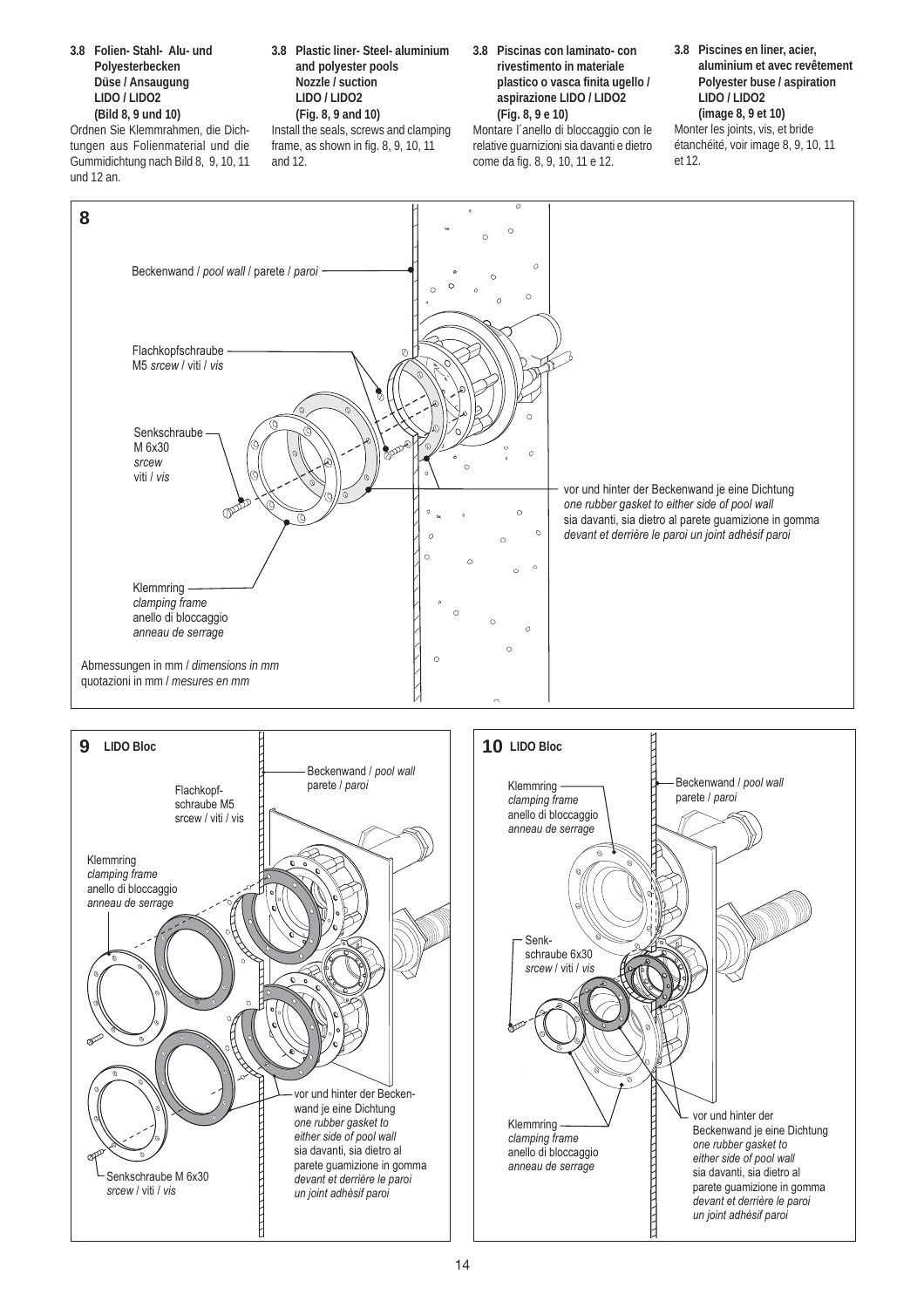**3.8 Folien- Stahl- Alu- und Polyesterbecken Düse / Ansaugung LIDO / LIDO2 (Bild 8, 9 und 10)**

Ordnen Sie Klemmrahmen, die Dichtungen aus Folienmaterial und die Gummidichtung nach Bild 8, 9, 10, 11 und 12 an.

**3.8 Plastic liner- Steel- aluminium and polyester pools Nozzle / suction LIDO / LIDO2 (Fig. 8, 9 and 10)** Install the seals, screws and clamping frame, as shown in fig. 8, 9, 10, 11

and 12.

**3.8 Piscinas con laminato- con rivestimento in materiale plastico o vasca finita ugello / aspirazione LIDO / LIDO2 (Fig. 8, 9 e 10)**

Montare l´anello di bloccaggio con le relative guarnizioni sia davanti e dietro come da fig. 8, 9, 10, 11 e 12.

**3.8 Piscines en liner, acier, aluminium et avec revêtement Polyester buse / aspiration LIDO / LIDO2 (image 8, 9 et 10)** Monter les joints, vis, et bride

étanchéité, voir image 8, 9, 10, 11 et 12.



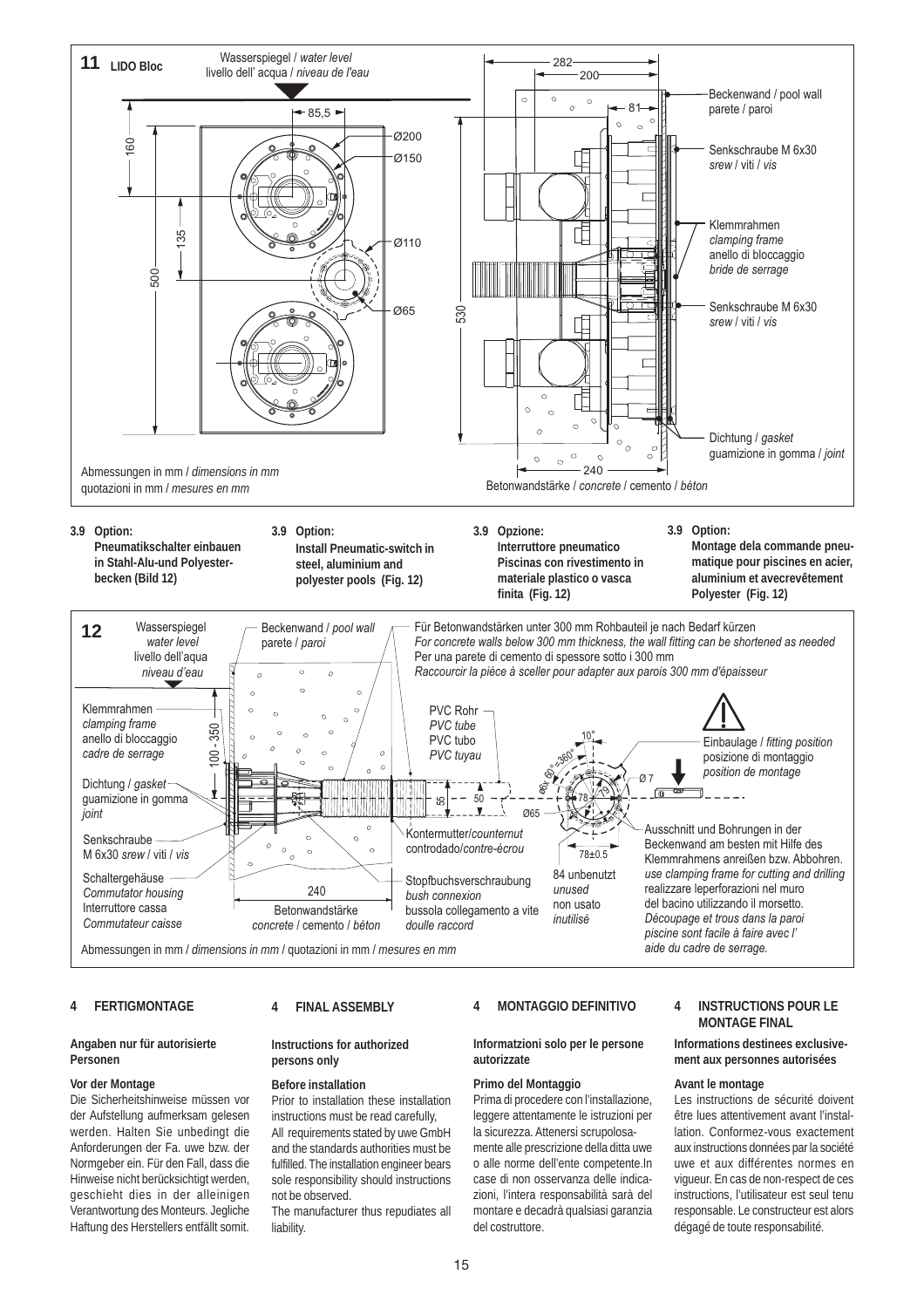

#### **4 FERTIGMONTAGE**

#### **Angaben nur für autorisierte Personen**

#### **Vor der Montage**

Die Sicherheitshinweise müssen vor der Aufstellung aufmerksam gelesen werden. Halten Sie unbedingt die Anforderungen der Fa. uwe bzw. der Normgeber ein. Für den Fall, dass die Hinweise nicht berücksichtigt werden, geschieht dies in der alleinigen Verantwortung des Monteurs. Jegliche Haftung des Herstellers entfällt somit.

#### **4 FINAL ASSEMBLY**

#### **Instructions for authorized persons only**

#### **Before installation**

Prior to installation these installation instructions must be read carefully, All requirements stated by uwe GmbH and the standards authorities must be fulfilled. The installation engineer bears sole responsibility should instructions not be observed.

The manufacturer thus repudiates all liability.

#### **4 MONTAGGIO DEFINITIVO**

#### **Informatzioni solo per le persone autorizzate**

**Primo del Montaggio** Prima di procedere con l'installazione, leggere attentamente le istruzioni per la sicurezza. Attenersi scrupolosa-

mente alle prescrizione della ditta uwe o alle norme dell'ente competente.In case di non osservanza delle indicazioni, l'intera responsabilità sarà del montare e decadrà qualsiasi garanzia del costruttore.

#### **4 INSTRUCTIONS POUR LE MONTAGE FINAL**

#### **Informations destinees exclusivement aux personnes autorisées**

#### **Avant le montage**

Les instructions de sécurité doivent être lues attentivement avant l'installation. Conformez-vous exactement aux instructions données par la société uwe et aux différentes normes en vigueur. En cas de non-respect de ces instructions, l'utilisateur est seul tenu responsable. Le constructeur est alors dégagé de toute responsabilité.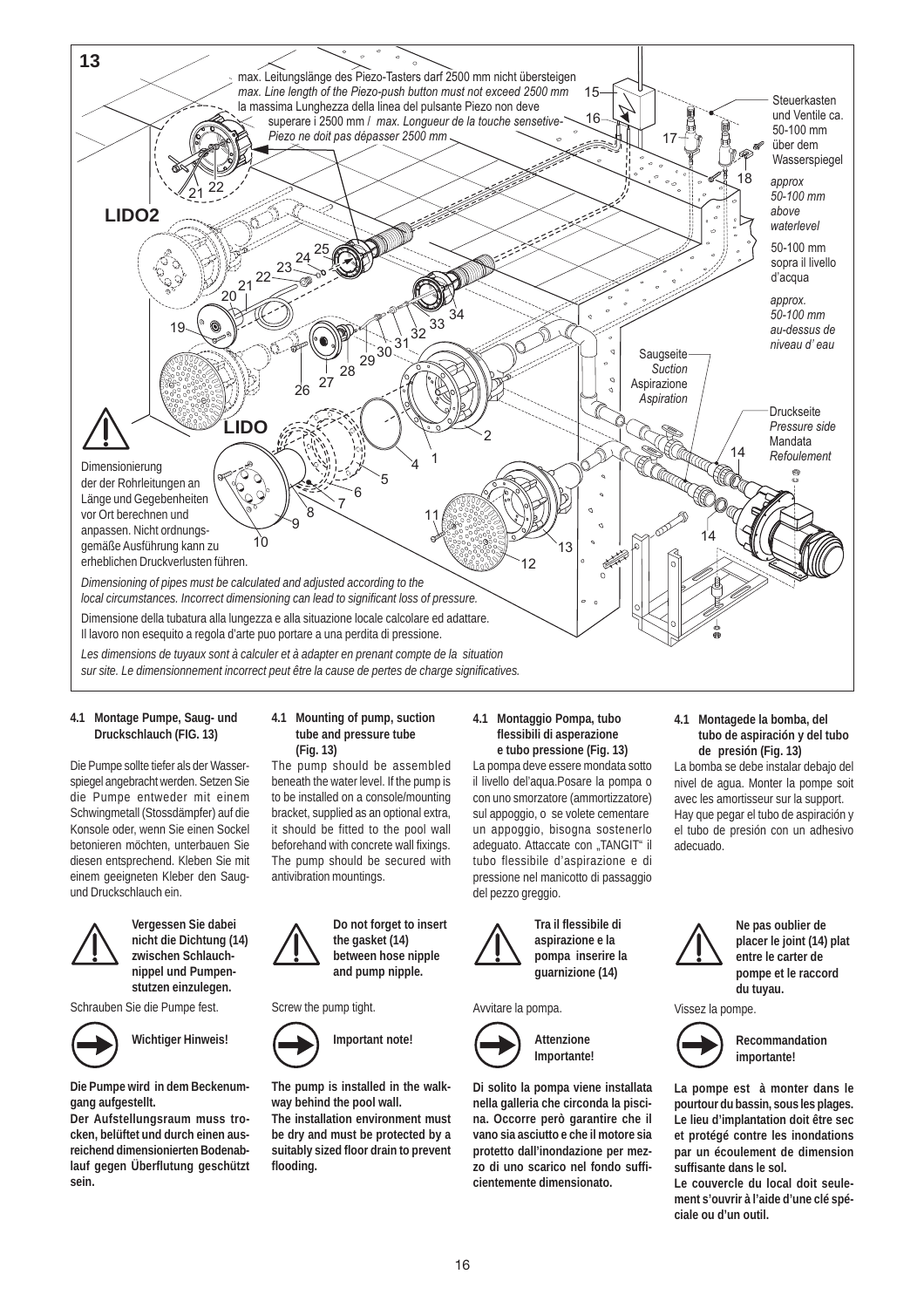

#### **4.1 Montage Pumpe, Saug- und Druckschlauch (FIG. 13)**

Die Pumpe sollte tiefer als der Wasserspiegel angebracht werden. Setzen Sie die Pumpe entweder mit einem Schwingmetall (Stossdämpfer) auf die Konsole oder, wenn Sie einen Sockel betonieren möchten, unterbauen Sie diesen entsprechend. Kleben Sie mit einem geeigneten Kleber den Saugund Druckschlauch ein.



**Vergessen Sie dabei nicht die Dichtung (14) zwischen Schlauchnippel und Pumpenstutzen einzulegen.**

Schrauben Sie die Pumpe fest.



**Wichtiger Hinweis!**

**Die Pumpe wird in dem Beckenumgang aufgestellt.**

**Der Aufstellungsraum muss trocken, belüftet und durch einen ausreichend dimensionierten Bodenablauf gegen Überflutung geschützt sein.**

#### **4.1 Mounting of pump, suction tube and pressure tube (Fig. 13)**

The pump should be assembled beneath the water level. If the pump is to be installed on a console/mounting bracket, supplied as an optional extra, it should be fitted to the pool wall beforehand with concrete wall fixings. The pump should be secured with antivibration mountings.



Screw the pump tight.



**The pump is installed in the walkway behind the pool wall.**

**The installation environment must be dry and must be protected by a suitably sized floor drain to prevent flooding.**

#### **4.1 Montaggio Pompa, tubo flessibili di asperazione e tubo pressione (Fig. 13)**

La pompa deve essere mondata sotto il livello del'aqua.Posare la pompa o con uno smorzatore (ammortizzatore) sul appoggio, o se volete cementare un appoggio, bisogna sostenerlo adeguato. Attaccate con "TANGIT" il tubo flessibile d'aspirazione e di pressione nel manicotto di passaggio del pezzo greggio.



**Tra il flessibile di aspirazione e la pompa inserire la guarnizione (14)**

#### Avvitare la pompa.



**Di solito la pompa viene installata nella galleria che circonda la piscina. Occorre però garantire che il vano sia asciutto e che il motore sia protetto dall'inondazione per mezzo di uno scarico nel fondo sufficientemente dimensionato.**

**Attenzione Importante!** **4.1 Montagede la bomba, del tubo de aspiración y del tubo de presión (Fig. 13)**

La bomba se debe instalar debajo del nivel de agua. Monter la pompe soit avec les amortisseur sur la support. Hay que pegar el tubo de aspiración y el tubo de presión con un adhesivo adecuado.



**Ne pas oublier de placer le joint (14) plat entre le carter de pompe et le raccord du tuyau.**

Vissez la pompe.



**Recommandation importante!**

**La pompe est à monter dans le pourtour du bassin, sous les plages. Le lieu d'implantation doit être sec et protégé contre les inondations par un écoulement de dimension suffisante dans le sol.**

**Le couvercle du local doit seulement s'ouvrir à l'aide d'une clé spéciale ou d'un outil.**

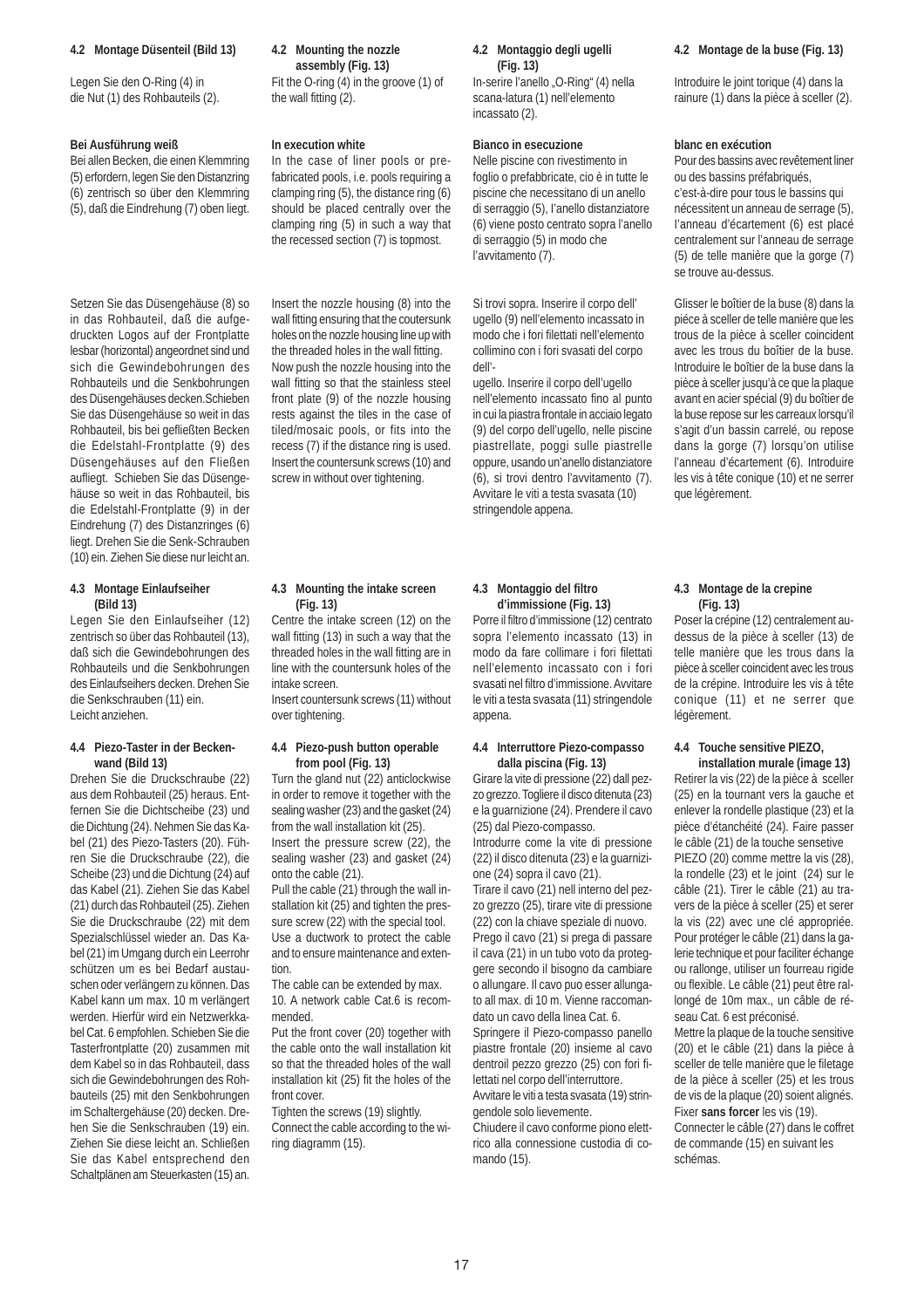#### **4.2 Montage Düsenteil (Bild 13)**

Legen Sie den O-Ring (4) in die Nut (1) des Rohbauteils (2).

#### **Bei Ausführung weiß**

Bei allen Becken, die einen Klemmring (5) erfordern, legen Sie den Distanzring (6) zentrisch so über den Klemmring (5), daß die Eindrehung (7) oben liegt.

Setzen Sie das Düsengehäuse (8) so in das Rohbauteil, daß die aufgedruckten Logos auf der Frontplatte lesbar (horizontal) angeordnet sind und sich die Gewindebohrungen des Rohbauteils und die Senkbohrungen des Düsengehäuses decken.Schieben Sie das Düsengehäuse so weit in das Rohbauteil, bis bei gefließten Becken die Edelstahl-Frontplatte (9) des Düsengehäuses auf den Fließen aufliegt. Schieben Sie das Düsengehäuse so weit in das Rohbauteil, bis die Edelstahl-Frontplatte (9) in der Eindrehung (7) des Distanzringes (6) liegt. Drehen Sie die Senk-Schrauben (10) ein. Ziehen Sie diese nur leicht an.

#### **4.3 Montage Einlaufseiher (Bild 13)**

Legen Sie den Einlaufseiher (12) zentrisch so über das Rohbauteil (13), daß sich die Gewindebohrungen des Rohbauteils und die Senkbohrungen des Einlaufseihers decken. Drehen Sie die Senkschrauben (11) ein. Leicht anziehen.

#### **4.4 Piezo-Taster in der Beckenwand (Bild 13)**

Drehen Sie die Druckschraube (22) aus dem Rohbauteil (25) heraus. Entfernen Sie die Dichtscheibe (23) und die Dichtung (24). Nehmen Sie das Kabel (21) des Piezo-Tasters (20). Führen Sie die Druckschraube (22), die Scheibe (23) und die Dichtung (24) auf das Kabel (21). Ziehen Sie das Kabel (21) durch das Rohbauteil (25). Ziehen Sie die Druckschraube (22) mit dem Spezialschlüssel wieder an. Das Kabel (21) im Umgang durch ein Leerrohr schützen um es bei Bedarf austauschen oder verlängern zu können. Das Kabel kann um max. 10 m verlängert werden. Hierfür wird ein Netzwerkkabel Cat. 6 empfohlen. Schieben Sie die Tasterfrontplatte (20) zusammen mit dem Kabel so in das Rohbauteil, dass sich die Gewindebohrungen des Rohbauteils (25) mit den Senkbohrungen im Schaltergehäuse (20) decken. Drehen Sie die Senkschrauben (19) ein. Ziehen Sie diese leicht an. Schließen Sie das Kabel entsprechend den Schaltplänen am Steuerkasten (15) an.

#### **4.2 Mounting the nozzle assembly (Fig. 13)**

Fit the O-ring (4) in the groove (1) of the wall fitting (2).

#### **In execution white**

In the case of liner pools or prefabricated pools, i.e. pools requiring a clamping ring (5), the distance ring (6) should be placed centrally over the clamping ring (5) in such a way that the recessed section (7) is topmost.

Insert the nozzle housing (8) into the wall fitting ensuring that the coutersunk holes on the nozzle housing line up with the threaded holes in the wall fitting. Now push the nozzle housing into the wall fitting so that the stainless steel front plate (9) of the nozzle housing rests against the tiles in the case of tiled/mosaic pools, or fits into the recess (7) if the distance ring is used. Insert the countersunk screws (10) and screw in without over tightening.

#### **4.3 Mounting the intake screen (Fig. 13)**

Centre the intake screen (12) on the wall fitting (13) in such a way that the threaded holes in the wall fitting are in line with the countersunk holes of the intake screen.

Insert countersunk screws (11) without over tightening.

#### **4.4 Piezo-push button operable from pool (Fig. 13)**

Turn the gland nut (22) anticlockwise in order to remove it together with the sealing washer (23) and the gasket (24) from the wall installation kit (25). Insert the pressure screw (22), the

sealing washer (23) and gasket (24) onto the cable (21). Pull the cable (21) through the wall in-

stallation kit (25) and tighten the pressure screw (22) with the special tool. Use a ductwork to protect the cable and to ensure maintenance and extention.

The cable can be extended by max. 10. A network cable Cat.6 is recommended.

Put the front cover (20) together with the cable onto the wall installation kit so that the threaded holes of the wall installation kit (25) fit the holes of the front cover.

Tighten the screws (19) slightly. Connect the cable according to the wiring diagramm (15).

#### **4.2 Montaggio degli ugelli (Fig. 13)**

In-serire l'anello "O-Ring" (4) nella scana-latura (1) nell'elemento incassato (2).

#### **Bianco in esecuzione**

Nelle piscine con rivestimento in foglio o prefabbricate, cio è in tutte le piscine che necessitano di un anello di serraggio (5), I'anello distanziatore (6) viene posto centrato sopra l'anello di serraggio (5) in modo che l'avvitamento (7).

Si trovi sopra. Inserire il corpo dell' ugello (9) nell'elemento incassato in modo che i fori filettati nell'elemento collimino con i fori svasati del corpo dell'-

ugello. Inserire il corpo dell'ugello nell'elemento incassato fino al punto in cui la piastra frontale in acciaio legato (9) del corpo dell'ugello, nelle piscine piastrellate, poggi sulle piastrelle oppure, usando un'anello distanziatore (6), si trovi dentro l'avvitamento (7). Avvitare le viti a testa svasata (10) stringendole appena.

#### **4.3 Montaggio del filtro d'immissione (Fig. 13)**

Porre il filtro d'immissione (12) centrato sopra l'elemento incassato (13) in modo da fare collimare i fori filettati nell'elemento incassato con i fori svasati nel filtro d'immissione. Avvitare le viti a testa svasata (11) stringendole appena.

#### **4.4 Interruttore Piezo-compasso dalla piscina (Fig. 13)**

Girare la vite di pressione (22) dall pezzo grezzo. Togliere il disco ditenuta (23) e la guarnizione (24). Prendere il cavo (25) dal Piezo-compasso.

Introdurre come la vite di pressione (22) il disco ditenuta (23) e la guarnizione (24) sopra il cavo (21).

Tirare il cavo (21) nell interno del pezzo grezzo (25), tirare vite di pressione (22) con la chiave speziale di nuovo. Prego il cavo (21) si prega di passare il cava (21) in un tubo voto da proteggere secondo il bisogno da cambiare o allungare. Il cavo puo esser allungato all max. di 10 m. Vienne raccomandato un cavo della linea Cat. 6.

Springere il Piezo-compasso panello piastre frontale (20) insieme al cavo dentroil pezzo grezzo (25) con fori filettati nel corpo dell'interruttore.

Avvitare le viti a testa svasata (19) stringendole solo lievemente.

Chiudere il cavo conforme piono elettrico alla connessione custodia di comando (15).

#### **4.2 Montage de la buse (Fig. 13)**

Introduire le joint torique (4) dans la rainure (1) dans la pièce à sceller (2).

#### **blanc en exécution**

Pour des bassins avec revêtement liner ou des bassins préfabriqués, c'est-à-dire pour tous le bassins qui nécessitent un anneau de serrage (5), I'anneau d'écartement (6) est placé centralement sur l'anneau de serrage (5) de telle manière que la gorge (7) se trouve au-dessus.

Glisser le boîtier de la buse (8) dans la piéce à sceller de telle manière que les trous de la pièce à sceller coincident avec les trous du boîtier de la buse. Introduire le boîtier de la buse dans la pièce à sceller jusqu'à ce que la plaque avant en acier spécial (9) du boîtier de la buse repose sur les carreaux lorsqu'il s'agit d'un bassin carrelé, ou repose dans la gorge (7) lorsqu'on utilise l'anneau d'écartement (6). Introduire les vis à tête conique (10) et ne serrer que légèrement.

#### **4.3 Montage de la crepine (Fig. 13)**

Poser la crépine (12) centralement audessus de la pièce à sceller (13) de telle manière que les trous dans la pièce à sceller coincident avec les trous de la crépine. Introduire les vis à tête conique (11) et ne serrer que légèrement.

#### **4.4 Touche sensitive PIEZO,**

**installation murale (image 13)** Retirer la vis (22) de la pièce à sceller (25) en la tournant vers la gauche et enlever la rondelle plastique (23) et la pièce d'étanchéité (24). Faire passer le câble (21) de la touche sensetive PIEZO (20) comme mettre la vis (28), la rondelle (23) et le joint (24) sur le câble (21). Tirer le câble (21) au travers de la pièce à sceller (25) et serer la vis (22) avec une clé appropriée. Pour protéger le câble (21) dans la galerie technique et pour faciliter échange ou rallonge, utiliser un fourreau rigide ou flexible. Le câble (21) peut être rallongé de 10m max., un câble de réseau Cat. 6 est préconisé.

Mettre la plaque de la touche sensitive (20) et le câble (21) dans la pièce à sceller de telle manière que le filetage de la pièce à sceller (25) et les trous de vis de la plaque (20) soient alignés. Fixer **sans forcer** les vis (19).

Connecter le câble (27) dans le coffret de commande (15) en suivant les schémas.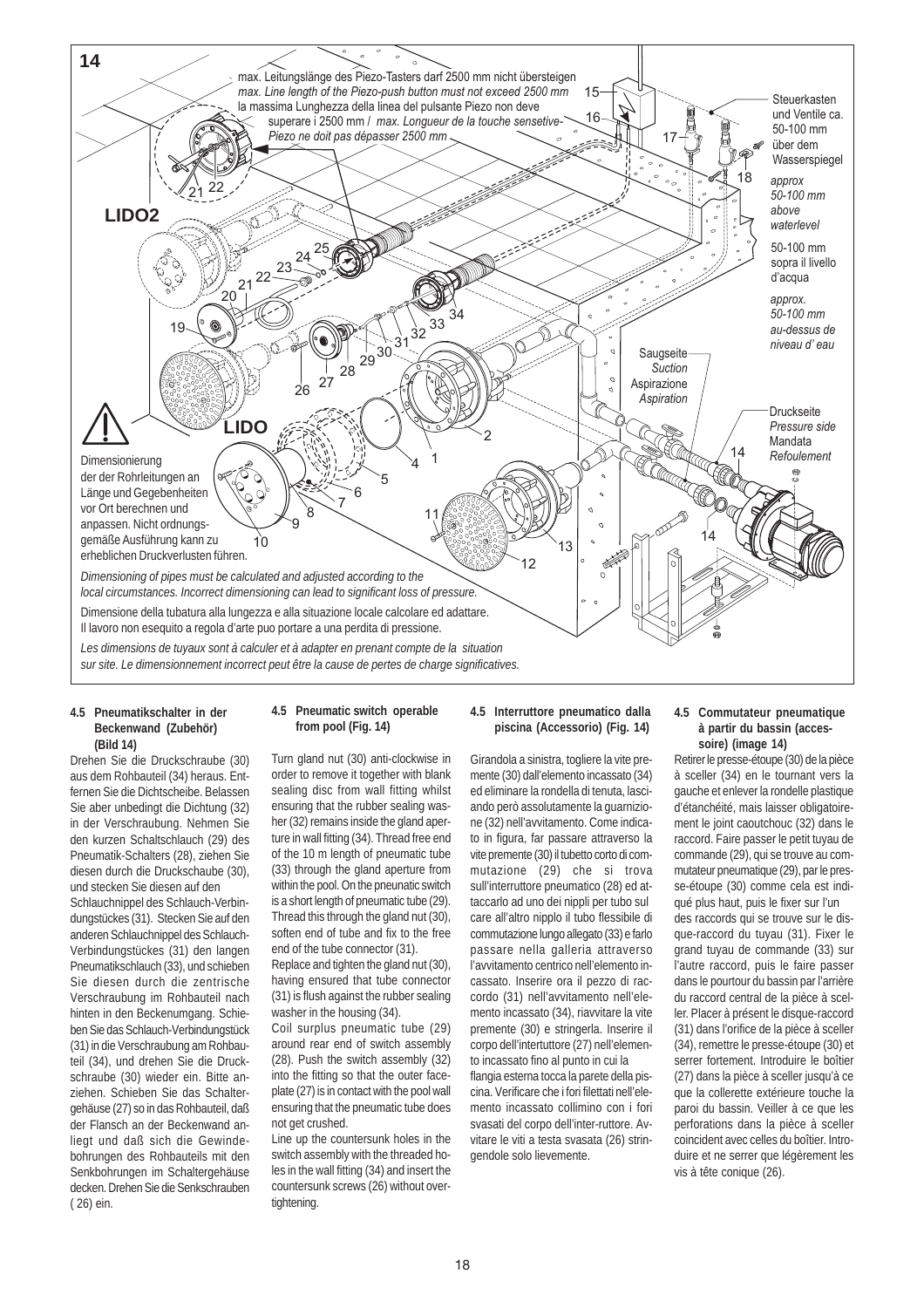

#### **4.5 Pneumatikschalter in der Beckenwand (Zubehör) (Bild 14)**

Drehen Sie die Druckschraube (30) aus dem Rohbauteil (34) heraus. Entfernen Sie die Dichtscheibe. Belassen Sie aber unbedingt die Dichtung (32) in der Verschraubung. Nehmen Sie den kurzen Schaltschlauch (29) des Pneumatik-Schalters (28), ziehen Sie diesen durch die Druckschaube (30), und stecken Sie diesen auf den Schlauchnippel des Schlauch-Verbindungstückes (31). Stecken Sie auf den

anderen Schlauchnippel des Schlauch-Verbindungstückes (31) den langen Pneumatikschlauch (33), und schieben Sie diesen durch die zentrische Verschraubung im Rohbauteil nach hinten in den Beckenumgang. Schieben Sie das Schlauch-Verbindungstück (31) in die Verschraubung am Rohbauteil (34), und drehen Sie die Druckschraube (30) wieder ein. Bitte anziehen. Schieben Sie das Schaltergehäuse (27) so in das Rohbauteil, daß der Flansch an der Beckenwand anliegt und daß sich die Gewindebohrungen des Rohbauteils mit den Senkbohrungen im Schaltergehäuse decken. Drehen Sie die Senkschrauben ( 26) ein.

#### **4.5 Pneumatic switch operable from pool (Fig. 14)**

Turn gland nut (30) anti-clockwise in order to remove it together with blank sealing disc from wall fitting whilst ensuring that the rubber sealing washer (32) remains inside the gland aperture in wall fitting (34). Thread free end of the 10 m length of pneumatic tube (33) through the gland aperture from within the pool. On the pneunatic switch is a short length of pneumatic tube (29). Thread this through the gland nut (30), soften end of tube and fix to the free end of the tube connector (31).

Replace and tighten the gland nut (30), having ensured that tube connector (31) is flush against the rubber sealing washer in the housing (34).

Coil surplus pneumatic tube (29) around rear end of switch assembly (28). Push the switch assembly (32) into the fitting so that the outer faceplate (27) is in contact with the pool wall ensuring that the pneumatic tube does not get crushed.

Line up the countersunk holes in the switch assembly with the threaded holes in the wall fitting (34) and insert the countersunk screws (26) without overtightening.

#### **4.5 Interruttore pneumatico dalla piscina (Accessorio) (Fig. 14)**

Girandola a sinistra, togliere la vite premente (30) dall'elemento incassato (34) ed eliminare la rondella di tenuta, lasciando però assolutamente la guarnizione (32) nell'avvitamento. Come indicato in figura, far passare attraverso la vite premente (30) il tubetto corto di commutazione (29) che si trova sull'interruttore pneumatico (28) ed attaccarlo ad uno dei nippli per tubo sul care all'altro nipplo il tubo flessibile di commutazione lungo allegato (33) e farlo passare nella galleria attraverso l'avvitamento centrico nell'elemento incassato. Inserire ora il pezzo di raccordo (31) nell'avvitamento nell'elemento incassato (34), riavvitare la vite premente (30) e stringerla. Inserire il corpo dell'intertuttore (27) nell'elemento incassato fino al punto in cui la flangia esterna tocca la parete della pis-

cina. Verificare che i fori filettati nell'elemento incassato collimino con i fori svasati del corpo dell'inter-ruttore. Avvitare le viti a testa svasata (26) stringendole solo lievemente.

#### **4.5 Commutateur pneumatique à partir du bassin (accessoire) (image 14)**

Retirer le presse-étoupe (30) de la pièce à sceller (34) en le tournant vers la gauche et enlever la rondelle plastique d'étanchéité, mais laisser obligatoirement le joint caoutchouc (32) dans le raccord. Faire passer le petit tuyau de commande (29), qui se trouve au commutateur pneumatique (29), par le presse-étoupe (30) comme cela est indiqué plus haut, puis le fixer sur l'un des raccords qui se trouve sur le disque-raccord du tuyau (31). Fixer le grand tuyau de commande (33) sur l'autre raccord, puis le faire passer dans le pourtour du bassin par l'arrière du raccord central de la pièce à sceller. Placer à présent le disque-raccord (31) dans l'orifice de la pièce à sceller (34), remettre le presse-étoupe (30) et serrer fortement. Introduire le boîtier (27) dans la pièce à sceller jusqu'à ce que la collerette extérieure touche la paroi du bassin. Veiller à ce que les perforations dans la pièce à sceller coincident avec celles du boîtier. Introduire et ne serrer que légèrement les vis à tête conique (26).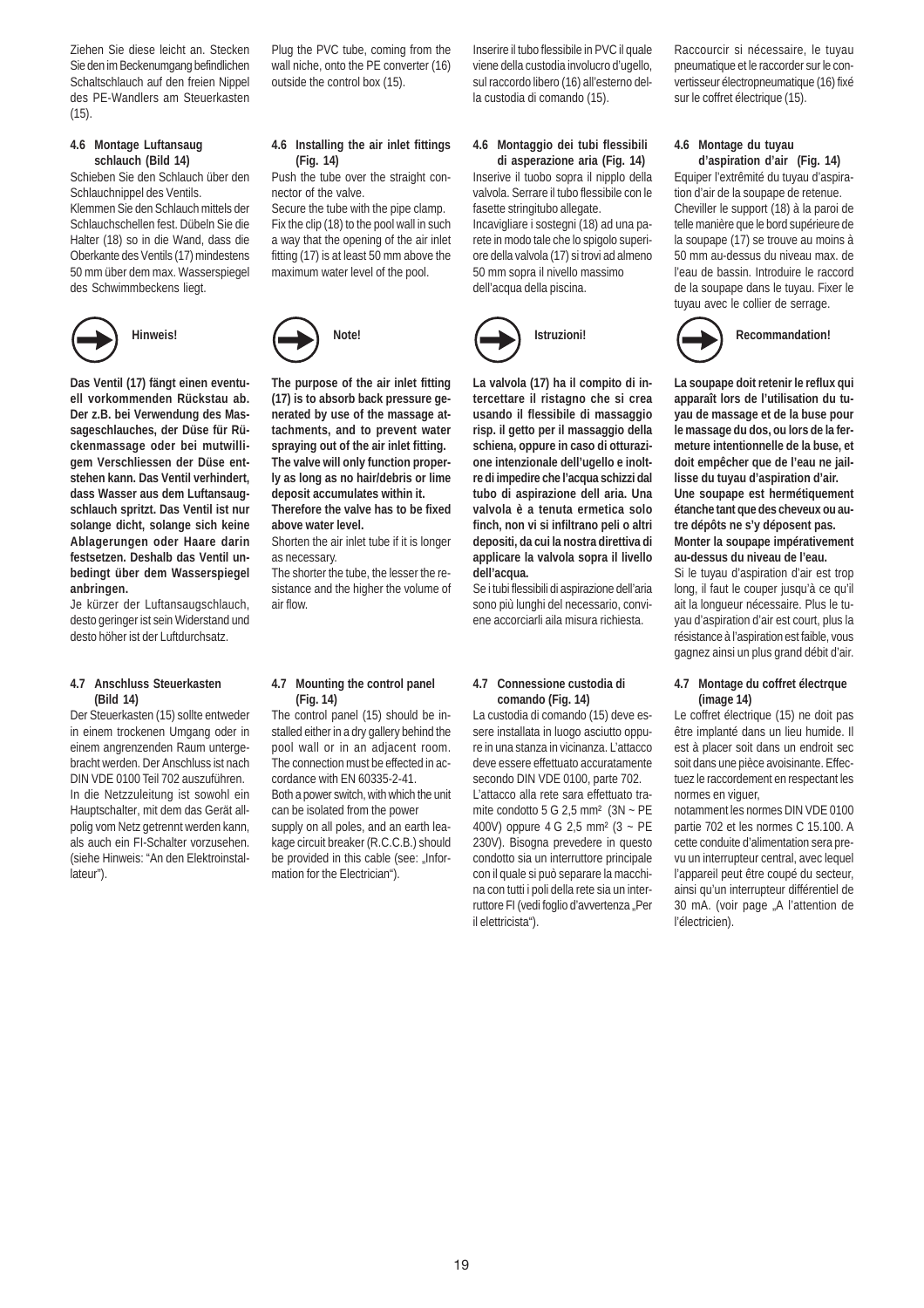Ziehen Sie diese leicht an. Stecken Sie den im Beckenumgang befindlichen Schaltschlauch auf den freien Nippel des PE-Wandlers am Steuerkasten  $(15)$ 

#### **4.6 Montage Luftansaug schlauch (Bild 14)**

Schieben Sie den Schlauch über den Schlauchnippel des Ventils.

Klemmen Sie den Schlauch mittels der Schlauchschellen fest. Dübeln Sie die Halter (18) so in die Wand, dass die Oberkante des Ventils (17) mindestens 50 mm über dem max. Wasserspiegel des Schwimmbeckens liegt.



**Hinweis!**

**Das Ventil (17) fängt einen eventuell vorkommenden Rückstau ab. Der z.B. bei Verwendung des Massageschlauches, der Düse für Rückenmassage oder bei mutwilligem Verschliessen der Düse entstehen kann. Das Ventil verhindert, dass Wasser aus dem Luftansaugschlauch spritzt. Das Ventil ist nur solange dicht, solange sich keine Ablagerungen oder Haare darin festsetzen. Deshalb das Ventil unbedingt über dem Wasserspiegel anbringen.**

Je kürzer der Luftansaugschlauch, desto geringer ist sein Widerstand und desto höher ist der Luftdurchsatz.

#### **4.7 Anschluss Steuerkasten (Bild 14)**

Der Steuerkasten (15) sollte entweder in einem trockenen Umgang oder in einem angrenzenden Raum untergebracht werden. Der Anschluss ist nach DIN VDE 0100 Teil 702 auszuführen. In die Netzzuleitung ist sowohl ein Hauptschalter, mit dem das Gerät allpolig vom Netz getrennt werden kann, als auch ein FI-Schalter vorzusehen. (siehe Hinweis: "An den Elektroinstallateur").

Plug the PVC tube, coming from the wall niche, onto the PE converter (16) outside the control box (15).

**4.6 Installing the air inlet fittings**

Push the tube over the straight con-

Secure the tube with the pipe clamp. Fix the clip (18) to the pool wall in such a way that the opening of the air inlet fitting (17) is at least 50 mm above the maximum water level of the pool.

**Note!**

**The purpose of the air inlet fitting (17) is to absorb back pressure generated by use of the massage attachments, and to prevent water spraying out of the air inlet fitting. The valve will only function properly as long as no hair/debris or lime deposit accumulates within it. Therefore the valve has to be fixed**

Shorten the air inlet tube if it is longer

The shorter the tube, the lesser the resistance and the higher the volume of

**(Fig. 14)**

nector of the valve.

**above water level.**

as necessary.

air flow.

Inserire il tubo flessibile in PVC il quale viene della custodia involucro d'ugello, sul raccordo libero (16) all'esterno della custodia di comando (15).

#### **4.6 Montaggio dei tubi flessibili di asperazione aria (Fig. 14)**

Inserive il tuobo sopra il nipplo della valvola. Serrare il tubo flessibile con le fasette stringitubo allegate.

Incavigliare i sostegni (18) ad una parete in modo tale che lo spigolo superiore della valvola (17) si trovi ad almeno 50 mm sopra il nivello massimo dell'acqua della piscina.



**La valvola (17) ha il compito di intercettare il ristagno che si crea usando il flessibile di massaggio risp. il getto per il massaggio della schiena, oppure in caso di otturazione intenzionale dell'ugello e inoltre di impedire che l'acqua schizzi dal tubo di aspirazione dell aria. Una valvola è a tenuta ermetica solo finch' non vi si infiltrano peli o altri depositi, da cui la nostra direttiva di applicare la valvola sopra il livello dell'acqua.**

Se i tubi flessibili di aspirazione dell'aria sono più lunghi del necessario, conviene accorciarli aila misura richiesta.

#### **4.7 Mounting the control panel (Fig. 14)**

The control panel (15) should be installed either in a dry gallery behind the pool wall or in an adjacent room. The connection must be effected in accordance with EN 60335-2-41. Both a power switch, with which the unit can be isolated from the power supply on all poles, and an earth leakage circuit breaker (R.C.C.B.) should be provided in this cable (see: "Information for the Electrician").

#### **4.7 Connessione custodia di comando (Fig. 14)**

La custodia di comando (15) deve essere installata in luogo asciutto oppure in una stanza in vicinanza. L'attacco deve essere effettuato accuratamente secondo DIN VDE 0100, parte 702. L'attacco alla rete sara effettuato tramite condotto  $5 G 2.5$  mm<sup>2</sup> ( $3N \sim PE$ 400V) oppure 4 G 2,5 mm² (3 ~ PE 230V). Bisogna prevedere in questo condotto sia un interruttore principale con il quale si può separare la macchina con tutti i poli della rete sia un interruttore FI (vedi foglio d'avvertenza "Per il elettricista").

Raccourcir si nécessaire, le tuyau pneumatique et le raccorder sur le convertisseur électropneumatique (16) fixé sur le coffret électrique (15).

#### **4.6 Montage du tuyau d'aspiration d'air (Fig. 14)**

Equiper l'extrêmité du tuyau d'aspiration d'air de la soupape de retenue. Cheviller le support (18) à la paroi de telle manière que le bord supérieure de la soupape (17) se trouve au moins à 50 mm au-dessus du niveau max. de l'eau de bassin. Introduire le raccord de la soupape dans le tuyau. Fixer le tuyau avec le collier de serrage.



**Recommandation!**

**La soupape doit retenir le reflux qui apparaît lors de l'utilisation du tuyau de massage et de la buse pour le massage du dos, ou lors de la fermeture intentionnelle de la buse, et doit empêcher que de l'eau ne jaillisse du tuyau d'aspiration d'air. Une soupape est hermétiquement étanche tant que des cheveux ou autre dépôts ne s'y déposent pas. Monter la soupape impérativement au-dessus du niveau de l'eau.** Si le tuyau d'aspiration d'air est trop long, il faut le couper jusqu'à ce qu'il ait la longueur nécessaire. Plus le tuyau d'aspiration d'air est court, plus la résistance à l'aspiration est faible, vous

#### **4.7 Montage du coffret électrque (image 14)**

gagnez ainsi un plus grand débit d'air.

Le coffret électrique (15) ne doit pas être implanté dans un lieu humide. Il est à placer soit dans un endroit sec soit dans une pièce avoisinante. Effectuez le raccordement en respectant les normes en viguer

notamment les normes DIN VDE 0100 partie 702 et les normes C 15.100. A cette conduite d'alimentation sera prevu un interrupteur central, avec lequel l'appareil peut être coupé du secteur, ainsi qu'un interrupteur différentiel de 30 mA. (voir page "A l'attention de l'électricien).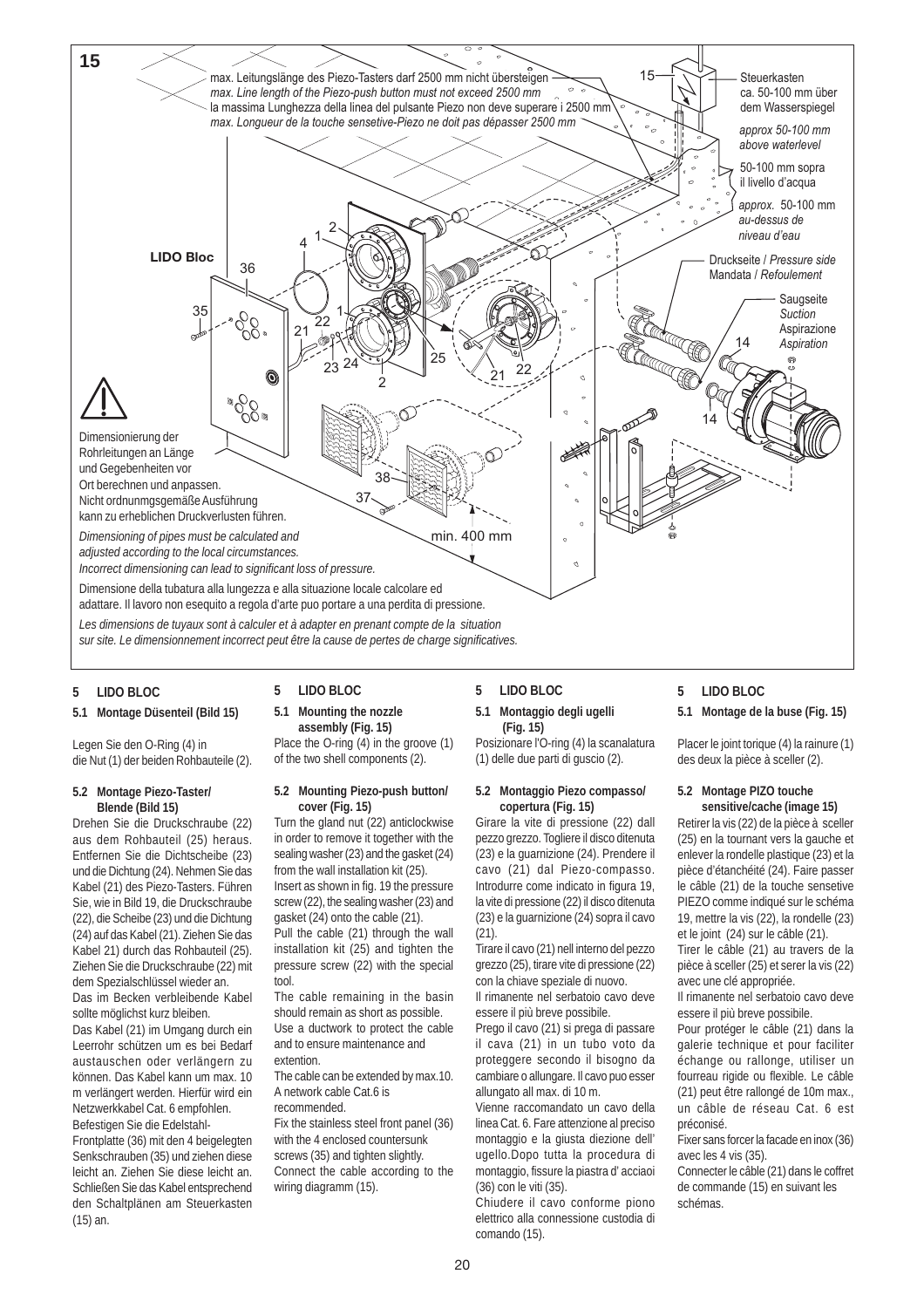

#### **5 LIDO BLOC**

#### **5.1 Montage Düsenteil (Bild 15)**

Legen Sie den O-Ring (4) in die Nut (1) der beiden Rohbauteile (2).

#### **5.2 Montage Piezo-Taster/ Blende (Bild 15)**

Drehen Sie die Druckschraube (22) aus dem Rohbauteil (25) heraus. Entfernen Sie die Dichtscheibe (23) und die Dichtung (24). Nehmen Sie das Kabel (21) des Piezo-Tasters. Führen Sie, wie in Bild 19, die Druckschraube (22), die Scheibe (23) und die Dichtung (24) auf das Kabel (21). Ziehen Sie das Kabel 21) durch das Rohbauteil (25). Ziehen Sie die Druckschraube (22) mit dem Spezialschlüssel wieder an. Das im Becken verbleibende Kabel sollte möglichst kurz bleiben.

Das Kabel (21) im Umgang durch ein Leerrohr schützen um es bei Bedarf austauschen oder verlängern zu können. Das Kabel kann um max. 10 m verlängert werden. Hierfür wird ein Netzwerkkabel Cat. 6 empfohlen. Befestigen Sie die Edelstahl-

Frontplatte (36) mit den 4 beigelegten Senkschrauben (35) und ziehen diese leicht an. Ziehen Sie diese leicht an. Schließen Sie das Kabel entsprechend den Schaltplänen am Steuerkasten (15) an.

#### **5 LIDO BLOC**

**5.1 Mounting the nozzle assembly (Fig. 15)**

Place the O-ring (4) in the groove (1) of the two shell components (2).

#### **5.2 Mounting Piezo-push button/ cover (Fig. 15)**

Turn the gland nut (22) anticlockwise in order to remove it together with the sealing washer (23) and the gasket (24) from the wall installation kit (25). Insert as shown in fig. 19 the pressure screw (22), the sealing washer (23) and gasket (24) onto the cable (21). Pull the cable (21) through the wall

installation kit (25) and tighten the pressure screw (22) with the special tool.

The cable remaining in the basin should remain as short as possible. Use a ductwork to protect the cable and to ensure maintenance and extention.

The cable can be extended by max.10. A network cable Cat.6 is recommended.

Fix the stainless steel front panel (36) with the 4 enclosed countersunk screws (35) and tighten slightly. Connect the cable according to the wiring diagramm (15).

## **5 LIDO BLOC**

#### **5.1 Montaggio degli ugelli (Fig. 15)**

Posizionare l'O-ring (4) la scanalatura (1) delle due parti di guscio (2).

#### **5.2 Montaggio Piezo compasso/ copertura (Fig. 15)**

Girare la vite di pressione (22) dall pezzo grezzo. Togliere il disco ditenuta (23) e la guarnizione (24). Prendere il cavo (21) dal Piezo-compasso. Introdurre come indicato in figura 19, la vite di pressione (22) il disco ditenuta (23) e la guarnizione (24) sopra il cavo  $(21)$ 

Tirare il cavo (21) nell interno del pezzo grezzo (25), tirare vite di pressione (22) con la chiave speziale di nuovo. Il rimanente nel serbatoio cavo deve

essere il più breve possibile.

Prego il cavo (21) si prega di passare il cava (21) in un tubo voto da proteggere secondo il bisogno da cambiare o allungare. Il cavo puo esser allungato all max. di 10 m.

Vienne raccomandato un cavo della linea Cat. 6. Fare attenzione al preciso montaggio e la giusta diezione dell' ugello.Dopo tutta la procedura di montaggio, fissure la piastra d' acciaoi (36) con le viti (35).

Chiudere il cavo conforme piono elettrico alla connessione custodia di comando (15).

#### **5 LIDO BLOC**

#### **5.1 Montage de la buse (Fig. 15)**

Placer le joint torique (4) la rainure (1) des deux la pièce à sceller (2).

#### **5.2 Montage PIZO touche sensitive/cache (image 15)**

Retirer la vis (22) de la pièce à sceller (25) en la tournant vers la gauche et enlever la rondelle plastique (23) et la pièce d'étanchéité (24). Faire passer le câble (21) de la touche sensetive PIEZO comme indiqué sur le schéma 19, mettre la vis (22), la rondelle (23) et le joint (24) sur le câble (21). Tirer le câble (21) au travers de la

pièce à sceller (25) et serer la vis (22) avec une clé appropriée.

Il rimanente nel serbatoio cavo deve essere il più breve possibile.

Pour protéger le câble (21) dans la galerie technique et pour faciliter échange ou rallonge, utiliser un fourreau rigide ou flexible. Le câble (21) peut être rallongé de 10m max., un câble de réseau Cat. 6 est préconisé.

Fixer sans forcer la facade en inox (36) avec les 4 vis (35).

Connecter le câble (21) dans le coffret de commande (15) en suivant les schémas.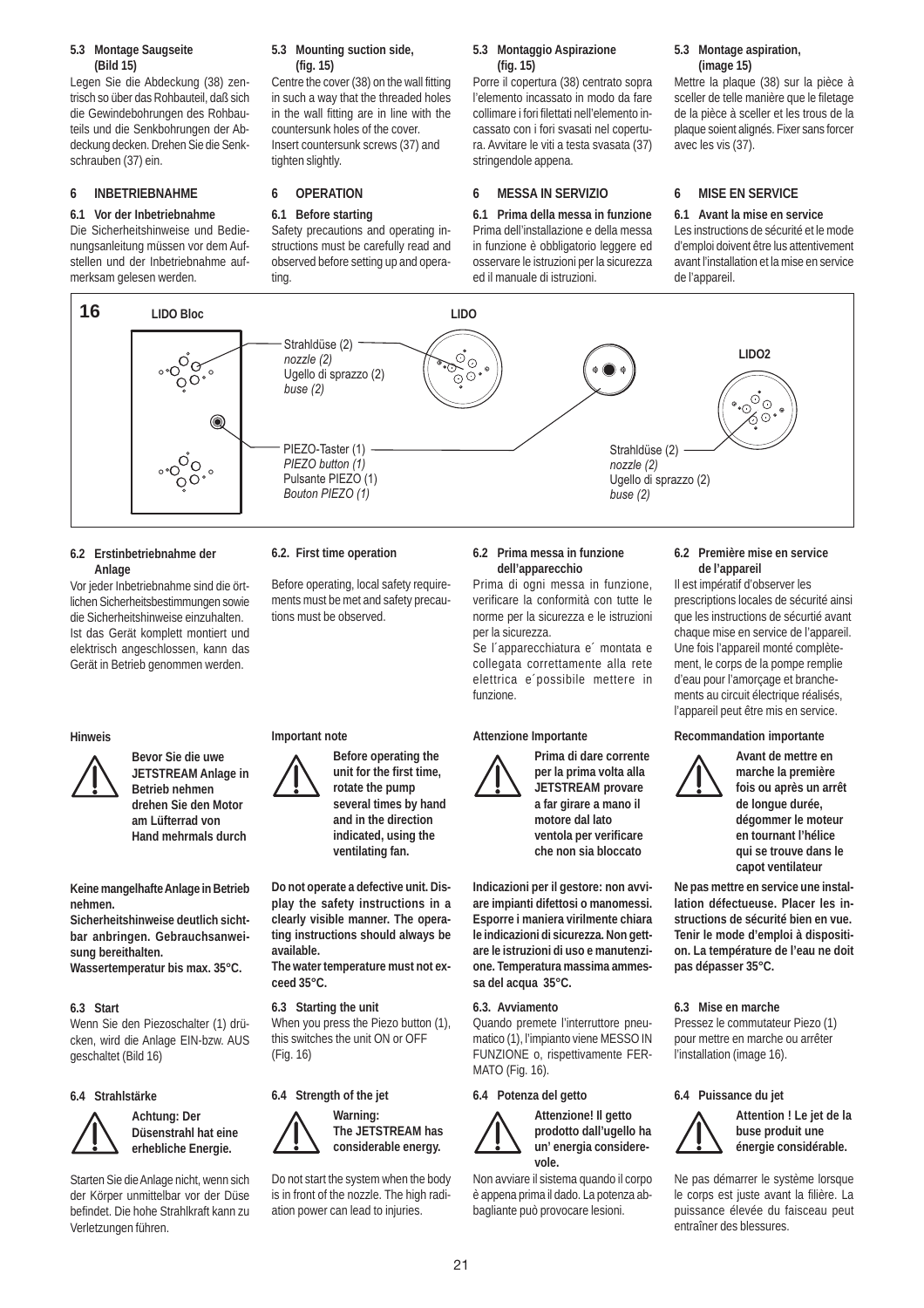#### **5.3 Montage Saugseite (Bild 15)**

Legen Sie die Abdeckung (38) zentrisch so über das Rohbauteil, daß sich die Gewindebohrungen des Rohbauteils und die Senkbohrungen der Abdeckung decken. Drehen Sie die Senkschrauben (37) ein.

#### **6 INBETRIEBNAHME**

#### **6.1 Vor der Inbetriebnahme**

Die Sicherheitshinweise und Bedienungsanleitung müssen vor dem Aufstellen und der Inbetriebnahme aufmerksam gelesen werden.

#### **5.3 Mounting suction side, (fig. 15)**

Centre the cover (38) on the wall fitting in such a way that the threaded holes in the wall fitting are in line with the countersunk holes of the cover. Insert countersunk screws (37) and tighten slightly.

#### **6 OPERATION**

#### **6.1 Before starting**

Safety precautions and operating instructions must be carefully read and observed before setting up and operating

#### **5.3 Montaggio Aspirazione (fig. 15)**

Porre il copertura (38) centrato sopra l'elemento incassato in modo da fare collimare i fori filettati nell'elemento incassato con i fori svasati nel copertura. Avvitare le viti a testa svasata (37) stringendole appena.

#### **6 MESSA IN SERVIZIO**

**6.1 Prima della messa in funzione** Prima dell'installazione e della messa in funzione è obbligatorio leggere ed osservare le istruzioni per la sicurezza ed il manuale di istruzioni.

#### **5.3 Montage aspiration, (image 15)**

Mettre la plaque (38) sur la pièce à sceller de telle manière que le filetage de la pièce à sceller et les trous de la plaque soient alignés. Fixer sans forcer avec les vis (37).

#### **6 MISE EN SERVICE**

**6.1 Avant la mise en service** Les instructions de sécurité et le mode d'emploi doivent être lus attentivement avant l'installation et la mise en service de l'appareil.



#### **6.2 Erstinbetriebnahme der Anlage**

Vor jeder Inbetriebnahme sind die örtlichen Sicherheitsbestimmungen sowie die Sicherheitshinweise einzuhalten. Ist das Gerät komplett montiert und elektrisch angeschlossen, kann das Gerät in Betrieb genommen werden.

#### **Hinweis**



**Bevor Sie die uwe JETSTREAM Anlage in Betrieb nehmen drehen Sie den Motor am Lüfterrad von Hand mehrmals durch**

**Keine mangelhafte Anlage in Betrieb nehmen.**

**Sicherheitshinweise deutlich sichtbar anbringen. Gebrauchsanweisung bereithalten.**

**Wassertemperatur bis max. 35°C.**

#### **6.3 Start**

Wenn Sie den Piezoschalter (1) drücken, wird die Anlage EIN-bzw. AUS geschaltet (Bild 16)

#### **6.4 Strahlstärke**





Starten Sie die Anlage nicht, wenn sich der Körper unmittelbar vor der Düse befindet. Die hohe Strahlkraft kann zu Verletzungen führen.

### **6.2. First time operation**

**Important note**

**available.**

**ceed 35°C.**

(Fig. 16)

**6.3 Starting the unit**

**6.4 Strength of the jet**

Before operating, local safety requirements must be met and safety precautions must be observed.

> **Before operating the unit for the first time, rotate the pump several times by hand and in the direction indicated, using the ventilating fan.**

**Do not operate a defective unit. Display the safety instructions in a clearly visible manner. The operating instructions should always be**

**The water temperature must not ex-**

When you press the Piezo button (1), this switches the unit ON or OFF

**Warning:**

Do not start the system when the body is in front of the nozzle. The high radiation power can lead to injuries.

**The JETSTREAM has considerable energy.**

#### **6.2 Prima messa in funzione dell'apparecchio**

Prima di ogni messa in funzione, verificare la conformità con tutte le norme per la sicurezza e le istruzioni per la sicurezza.

Se l´apparecchiatura e´ montata e collegata correttamente alla rete elettrica e´possibile mettere in funzione.

#### **Attenzione Importante**



**Prima di dare corrente per la prima volta alla JETSTREAM provare a far girare a mano il motore dal lato ventola per verificare che non sia bloccato**

**Indicazioni per il gestore: non avviare impianti difettosi o manomessi. Esporre i maniera virilmente chiara le indicazioni di sicurezza. Non gettare le istruzioni di uso e manutenzione. Temperatura massima ammessa del acqua 35°C.**

#### **6.3. Avviamento**

Quando premete l'interruttore pneumatico (1), l'impianto viene MESSO IN FUNZIONE o, rispettivamente FER-MATO (Fig. 16).

#### **6.4 Potenza del getto**



Non avviare il sistema quando il corpo è appena prima il dado. La potenza abbagliante può provocare lesioni.

#### **6.2 Première mise en service de l'appareil**

Il est impératif d'observer les prescriptions locales de sécurité ainsi que les instructions de sécurtié avant chaque mise en service de l'appareil. Une fois l'appareil monté complètement, le corps de la pompe remplie d'eau pour l'amorçage et branchements au circuit électrique réalisés, l'appareil peut être mis en service.

#### **Recommandation importante**



**Avant de mettre en marche la première fois ou après un arrêt de longue durée, dégommer le moteur en tournant l'hélice qui se trouve dans le capot ventilateur**

**Ne pas mettre en service une installation défectueuse. Placer les instructions de sécurité bien en vue. Tenir le mode d'emploi à disposition. La température de l'eau ne doit pas dépasser 35°C.**

#### **6.3 Mise en marche**

Pressez le commutateur Piezo (1) pour mettre en marche ou arrêter l'installation (image 16).

#### **6.4 Puissance du jet**



**Attention ! Le jet de la buse produit une énergie considérable.**

Ne pas démarrer le système lorsque le corps est juste avant la filière. La puissance élevée du faisceau peut entraîner des blessures.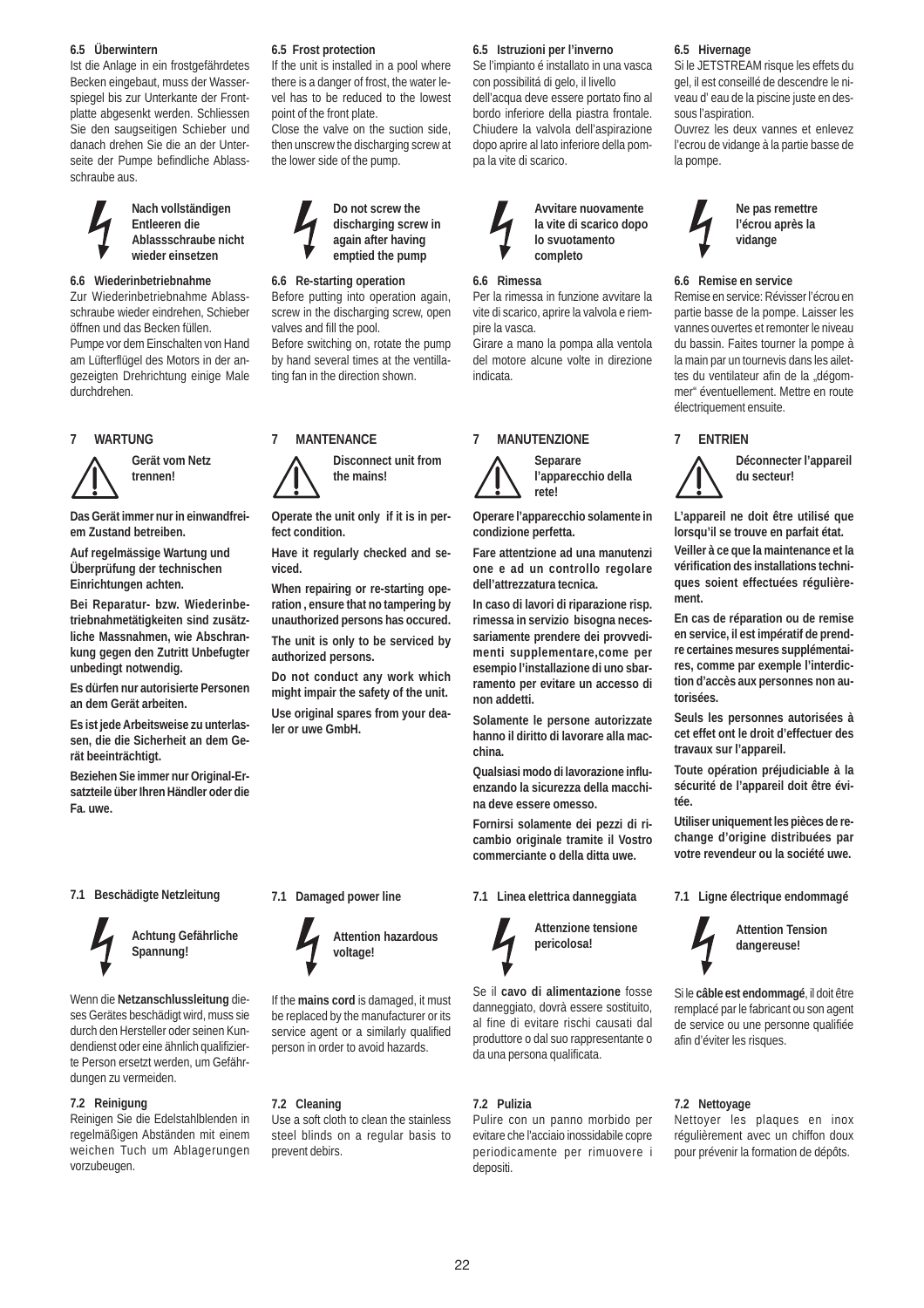#### **6.5 Überwintern**

Ist die Anlage in ein frostgefährdetes Becken eingebaut, muss der Wasserspiegel bis zur Unterkante der Frontplatte abgesenkt werden. Schliessen Sie den saugseitigen Schieber und danach drehen Sie die an der Unterseite der Pumpe befindliche Ablassschraube aus.

#### **Nach vollständigen Entleeren die Ablassschraube nicht wieder einsetzen**

#### **6.6 Wiederinbetriebnahme**

Zur Wiederinbetriebnahme Ablassschraube wieder eindrehen, Schieber öffnen und das Becken füllen. Pumpe vor dem Einschalten von Hand am Lüfterflügel des Motors in der angezeigten Drehrichtung einige Male durchdrehen.

#### **7 WARTUNG**



**Das Gerät immer nur in einwandfreiem Zustand betreiben.**

**Gerät vom Netz trennen!**

**Auf regelmässige Wartung und Überprüfung der technischen Einrichtungen achten.**

**Bei Reparatur- bzw. Wiederinbetriebnahmetätigkeiten sind zusätzliche Massnahmen, wie Abschrankung gegen den Zutritt Unbefugter unbedingt notwendig.**

**Es dürfen nur autorisierte Personen an dem Gerät arbeiten.**

**Es ist jede Arbeitsweise zu unterlassen, die die Sicherheit an dem Gerät beeinträchtigt.**

**Beziehen Sie immer nur Original-Ersatzteile über Ihren Händler oder die Fa. uwe.**

#### **7.1 Beschädigte Netzleitung**



**Achtung Gefährliche Spannung!**

Wenn die **Netzanschlussleitung** dieses Gerätes beschädigt wird, muss sie durch den Hersteller oder seinen Kundendienst oder eine ähnlich qualifizierte Person ersetzt werden, um Gefährdungen zu vermeiden.

#### **7.2 Reinigung**

Reinigen Sie die Edelstahlblenden in regelmäßigen Abständen mit einem weichen Tuch um Ablagerungen vorzubeugen.

#### **6.5 Frost protection**

If the unit is installed in a pool where there is a danger of frost, the water level has to be reduced to the lowest point of the front plate.

Close the valve on the suction side, then unscrew the discharging screw at the lower side of the pump.



#### **6.6 Re-starting operation**

Before putting into operation again, screw in the discharging screw, open valves and fill the pool. Before switching on, rotate the pump by hand several times at the ventillating fan in the direction shown.



**Disconnect unit from the mains!**

**Operate the unit only if it is in perfect condition.**

**Have it regularly checked and seviced.**

**When repairing or re-starting operation , ensure that no tampering by unauthorized persons has occured. The unit is only to be serviced by**

**authorized persons.**

**Do not conduct any work which might impair the safety of the unit. Use original spares from your dealer or uwe GmbH.**

#### **6.5 Istruzioni per l'inverno**

Se l'impianto é installato in una vasca con possibilitá di gelo, il livello dell'acqua deve essere portato fino al bordo inferiore della piastra frontale. Chiudere la valvola dell'aspirazione dopo aprire al lato inferiore della pompa la vite di scarico.



#### **6.6 Rimessa**

Per la rimessa in funzione avvitare la vite di scarico, aprire la valvola e riempire la vasca.

Girare a mano la pompa alla ventola del motore alcune volte in direzione indicata.

## **7 MANUTENZIONE**



**Separare l'apparecchio della rete!**

**Operare l'apparecchio solamente in condizione perfetta.**

**Fare attentzione ad una manutenzi one e ad un controllo regolare dell'attrezzatura tecnica.**

**In caso di lavori di riparazione risp. rimessa in servizio bisogna necessariamente prendere dei provvedimenti supplementare,come per esempio l'installazione di uno sbarramento per evitare un accesso di**

**Solamente le persone autorizzate hanno il diritto di lavorare alla macchina.**

**Qualsiasi modo di lavorazione influenzando la sicurezza della macchina deve essere omesso.**

**Fornirsi solamente dei pezzi di ricambio originale tramite il Vostro commerciante o della ditta uwe.**

**7.1 Linea elettrica danneggiata**



**Attenzione tensione pericolosa!**

Se il **cavo di alimentazione** fosse danneggiato, dovrà essere sostituito, al fine di evitare rischi causati dal produttore o dal suo rappresentante o da una persona qualificata.

#### **7.2 Pulizia**

Pulire con un panno morbido per evitare che l'acciaio inossidabile copre periodicamente per rimuovere i depositi.

#### **6.5 Hivernage**

Si le JETSTREAM risque les effets du gel, il est conseillé de descendre le niveau d' eau de la piscine juste en dessous l'aspiration.

Ouvrez les deux vannes et enlevez l'ecrou de vidange à la partie basse de la pompe.



#### **6.6 Remise en service**

Remise en service: Révisser l'écrou en partie basse de la pompe. Laisser les vannes ouvertes et remonter le niveau du bassin. Faites tourner la pompe à la main par un tournevis dans les ailettes du ventilateur afin de la "dégommer" éventuellement. Mettre en route électriquement ensuite.

#### **7 ENTRIEN**



**Déconnecter l'appareil du secteur!**

**L'appareil ne doit être utilisé que lorsqu'il se trouve en parfait état. Veiller à ce que la maintenance et la vérification des installations techniques soient effectuées régulièrement.**

**En cas de réparation ou de remise en service, il est impératif de prendre certaines mesures supplémentaires, comme par exemple l'interdiction d'accès aux personnes non autorisées.**

**Seuls les personnes autorisées à cet effet ont le droit d'effectuer des travaux sur l'appareil.**

**Toute opération préjudiciable à la sécurité de l'appareil doit être évitée.**

**Utiliser uniquement les pièces de rechange d'origine distribuées par votre revendeur ou la société uwe.**

**7.1 Ligne électrique endommagé**



Si le **câble est endommagé**, il doit être remplacé par le fabricant ou son agent de service ou une personne qualifiée afin d'éviter les risques.

#### **7.2 Nettoyage**

Nettoyer les plaques en inox régulièrement avec un chiffon doux pour prévenir la formation de dépôts.

**voltage!** If the **mains cord** is damaged, it must

**7.1 Damaged power line**

be replaced by the manufacturer or its service agent or a similarly qualified person in order to avoid hazards.

**Attention hazardous**

#### **7.2 Cleaning**

Use a soft cloth to clean the stainless steel blinds on a regular basis to prevent debirs.

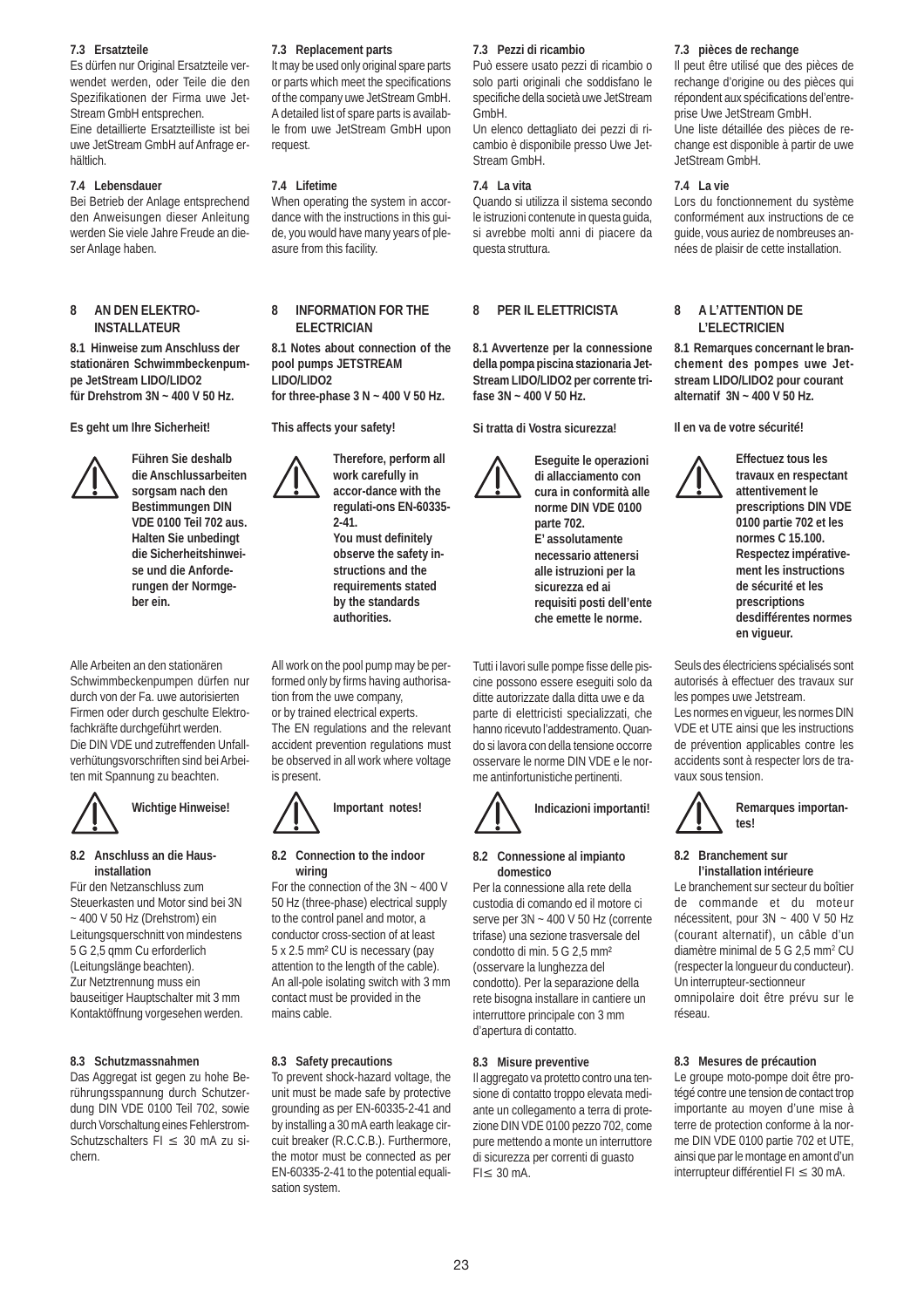#### **7.3 Ersatzteile**

Es dürfen nur Original Ersatzteile verwendet werden, oder Teile die den Spezifikationen der Firma uwe Jet-Stream GmbH entsprechen. Eine detaillierte Ersatzteilliste ist bei

uwe JetStream GmbH auf Anfrage erhältlich.

#### **7.4 Lebensdauer**

Bei Betrieb der Anlage entsprechend den Anweisungen dieser Anleitung werden Sie viele Jahre Freude an dieser Anlage haben.

#### **8 AN DEN ELEKTRO-INSTALLATEUR**

**8.1 Hinweise zum Anschluss der stationären Schwimmbeckenpumpe JetStream LIDO/LIDO2 für Drehstrom 3N ~ 400 V 50 Hz.**

**Es geht um Ihre Sicherheit!**



**Führen Sie deshalb die Anschlussarbeiten sorgsam nach den Bestimmungen DIN VDE 0100 Teil 702 aus. Halten Sie unbedingt die Sicherheitshinweise und die Anforderungen der Normgeber ein.**

Alle Arbeiten an den stationären Schwimmbeckenpumpen dürfen nur durch von der Fa. uwe autorisierten Firmen oder durch geschulte Elektrofachkräfte durchgeführt werden. Die DIN VDE und zutreffenden Unfallverhütungsvorschriften sind bei Arbeiten mit Spannung zu beachten.



## **Wichtige Hinweise!**

#### **8.2 Anschluss an die Hausinstallation**

Für den Netzanschluss zum Steuerkasten und Motor sind bei 3N ~ 400 V 50 Hz (Drehstrom) ein Leitungsquerschnitt von mindestens 5 G 2,5 qmm Cu erforderlich (Leitungslänge beachten). Zur Netztrennung muss ein bauseitiger Hauptschalter mit 3 mm Kontaktöffnung vorgesehen werden.

#### **8.3 Schutzmassnahmen**

Das Aggregat ist gegen zu hohe Berührungsspannung durch Schutzerdung DIN VDE 0100 Teil 702, sowie durch Vorschaltung eines Fehlerstrom-Schutzschalters FI ≤ 30 mA zu sichern.

#### **7.3 Replacement parts**

It may be used only original spare parts or parts which meet the specifications of the company uwe JetStream GmbH. A detailed list of spare parts is available from uwe JetStream GmbH upon request.

#### **7.4 Lifetime**

When operating the system in accordance with the instructions in this guide, you would have many years of pleasure from this facility.

#### **8 INFORMATION FOR THE ELECTRICIAN**

**8.1 Notes about connection of the pool pumps JETSTREAM LIDO/LIDO2 for three-phase 3 N ~ 400 V 50 Hz.**

**This affects your safety!**

**Therefore, perform all work carefully in accor-dance with the regulati-ons EN-60335- 2-41. You must definitely observe the safety instructions and the requirements stated by the standards authorities.**

All work on the pool pump may be performed only by firms having authorisation from the uwe company, or by trained electrical experts. The EN regulations and the relevant accident prevention regulations must be observed in all work where voltage is present.



#### **8.2 Connection to the indoor wiring**

For the connection of the 3N ~ 400 V 50 Hz (three-phase) electrical supply to the control panel and motor, a conductor cross-section of at least 5 x 2.5 mm² CU is necessary (pay attention to the length of the cable). An all-pole isolating switch with 3 mm contact must be provided in the mains cable.

#### **8.3 Safety precautions**

To prevent shock-hazard voltage, the unit must be made safe by protective grounding as per EN-60335-2-41 and by installing a 30 mA earth leakage circuit breaker (R.C.C.B.). Furthermore, the motor must be connected as per EN-60335-2-41 to the potential equalisation system.

#### **7.3 Pezzi di ricambio**

Può essere usato pezzi di ricambio o solo parti originali che soddisfano le specifiche della società uwe JetStream GmbH.

Un elenco dettagliato dei pezzi di ricambio è disponibile presso Uwe Jet-Stream GmbH.

#### **7.4 La vita**

Quando si utilizza il sistema secondo le istruzioni contenute in questa guida, si avrebbe molti anni di piacere da questa struttura.

#### **8 PER IL ELETTRICISTA**

**8.1 Avvertenze per la connessione della pompa piscina stazionaria Jet-Stream LIDO/LIDO2 per corrente trifase 3N ~ 400 V 50 Hz.**

**Si tratta di Vostra sicurezza!**

**Eseguite le operazioni di allacciamento con cura in conformità alle norme DIN VDE 0100 parte 702. E' assolutamente necessario attenersi alle istruzioni per la sicurezza ed ai requisiti posti dell'ente che emette le norme.**

Tutti i lavori sulle pompe fisse delle piscine possono essere eseguiti solo da ditte autorizzate dalla ditta uwe e da parte di elettricisti specializzati, che hanno ricevuto l'addestramento. Quando si lavora con della tensione occorre osservare le norme DIN VDE e le norme antinfortunistiche pertinenti.



#### **8.2 Connessione al impianto domestico**

Per la connessione alla rete della custodia di comando ed il motore ci serve per 3N ~ 400 V 50 Hz (corrente trifase) una sezione trasversale del condotto di min. 5 G 2,5 mm² (osservare la lunghezza del condotto). Per la separazione della rete bisogna installare in cantiere un interruttore principale con 3 mm d'apertura di contatto.

#### **8.3 Misure preventive**

Il aggregato va protetto contro una tensione di contatto troppo elevata mediante un collegamento a terra di protezione DIN VDE 0100 pezzo 702, come pure mettendo a monte un interruttore di sicurezza per correnti di guasto FI≤ 30 mA.

#### **7.3 pièces de rechange**

Il peut être utilisé que des pièces de rechange d'origine ou des pièces qui répondent aux spécifications del'entreprise Uwe JetStream GmbH. Une liste détaillée des pièces de rechange est disponible à partir de uwe JetStream GmbH.

#### **7.4 La vie**

Lors du fonctionnement du système conformément aux instructions de ce guide, vous auriez de nombreuses années de plaisir de cette installation.

#### **8 A L'ATTENTION DE L'ELECTRICIEN**

**8.1 Remarques concernant le branchement des pompes uwe Jetstream LIDO/LIDO2 pour courant alternatif 3N ~ 400 V 50 Hz.**

**Il en va de votre sécurité!**



**Effectuez tous les travaux en respectant attentivement le prescriptions DIN VDE 0100 partie 702 et les normes C 15.100. Respectez impérativement les instructions de sécurité et les prescriptions desdifférentes normes en vigueur.**

Seuls des électriciens spécialisés sont autorisés à effectuer des travaux sur les pompes uwe Jetstream.

Les normes en vigueur, les normes DIN VDE et UTE ainsi que les instructions de prévention applicables contre les accidents sont à respecter lors de travaux sous tension.



## **8.2 Branchement sur**

## **l'installation intérieure**

Le branchement sur secteur du boîtier de commande et du moteur nécessitent, pour 3N ~ 400 V 50 Hz (courant alternatif), un câble d'un diamètre minimal de 5 G 2,5 mm<sup>2</sup> CU (respecter la longueur du conducteur). Un interrupteur-sectionneur omnipolaire doit être prévu sur le réseau.

#### **8.3 Mesures de précaution**

Le groupe moto-pompe doit être protégé contre une tension de contact trop importante au moyen d'une mise à terre de protection conforme à la norme DIN VDE 0100 partie 702 et UTE, ainsi que par le montage en amont d'un interrupteur différentiel FI ≤ 30 mA.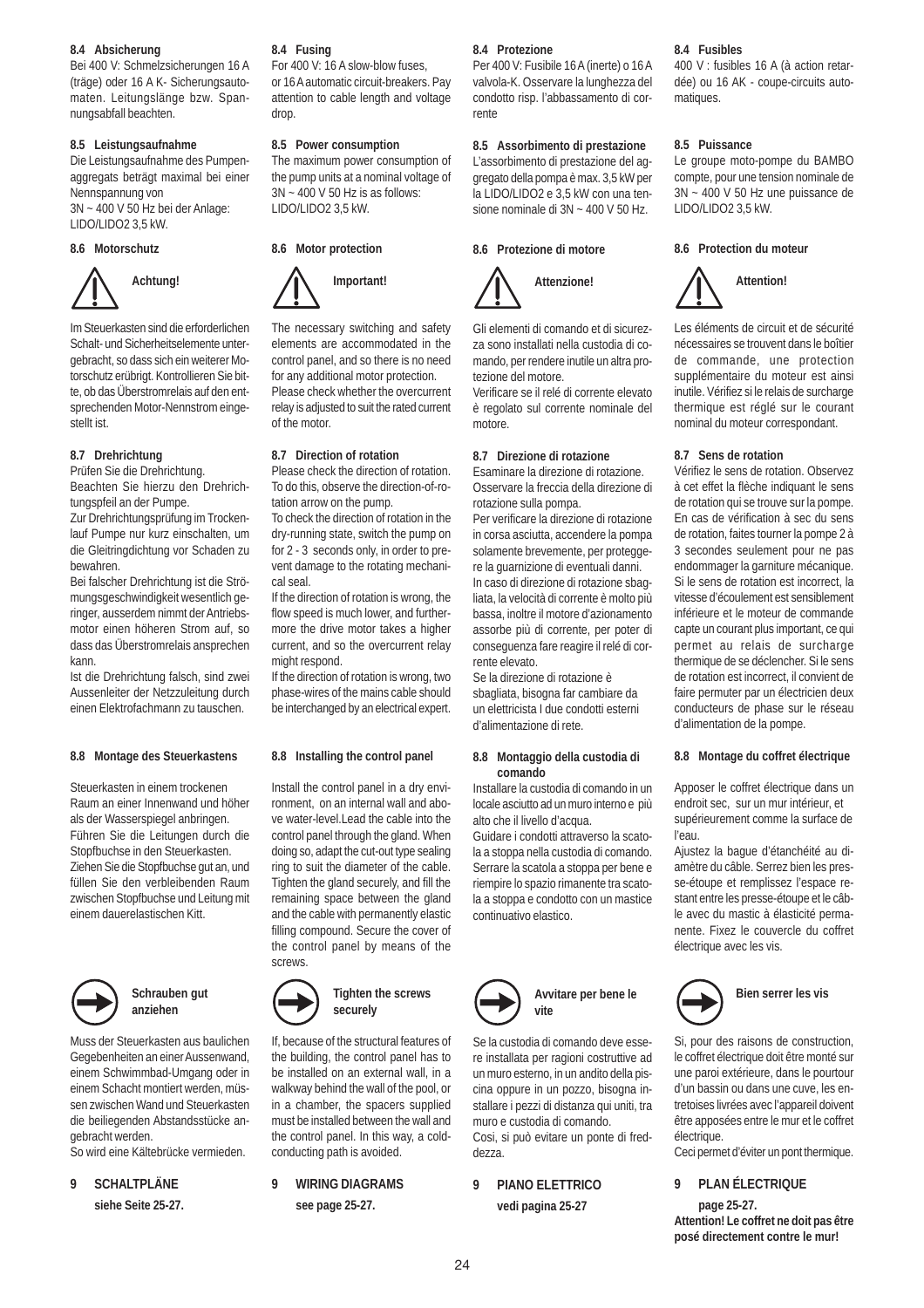#### **8.4 Absicherung**

Bei 400 V: Schmelzsicherungen 16 A (träge) oder 16 A K- Sicherungsautomaten. Leitungslänge bzw. Spannungsabfall beachten.

#### **8.5 Leistungsaufnahme**

Die Leistungsaufnahme des Pumpenaggregats beträgt maximal bei einer Nennspannung von 3N ~ 400 V 50 Hz bei der Anlage: LIDO/LIDO2 3,5 kW.

#### **8.6 Motorschutz**



Im Steuerkasten sind die erforderlichen Schalt- und Sicherheitselemente untergebracht, so dass sich ein weiterer Motorschutz erübrigt. Kontrollieren Sie bitte, ob das Überstromrelais auf den entsprechenden Motor-Nennstrom eingestellt ist.

#### **8.7 Drehrichtung**

Prüfen Sie die Drehrichtung.

Beachten Sie hierzu den Drehrichtungspfeil an der Pumpe.

Zur Drehrichtungsprüfung im Trockenlauf Pumpe nur kurz einschalten, um die Gleitringdichtung vor Schaden zu bewahren.

Bei falscher Drehrichtung ist die Strömungsgeschwindigkeit wesentlich geringer, ausserdem nimmt der Antriebsmotor einen höheren Strom auf, so dass das Überstromrelais ansprechen kann.

Ist die Drehrichtung falsch, sind zwei Aussenleiter der Netzzuleitung durch einen Elektrofachmann zu tauschen.

#### **8.8 Montage des Steuerkastens**

Steuerkasten in einem trockenen Raum an einer Innenwand und höher als der Wasserspiegel anbringen. Führen Sie die Leitungen durch die Stopfbuchse in den Steuerkasten. Ziehen Sie die Stopfbuchse gut an, und füllen Sie den verbleibenden Raum zwischen Stopfbuchse und Leitung mit einem dauerelastischen Kitt.



#### **Schrauben gut anziehen**

Muss der Steuerkasten aus baulichen Gegebenheiten an einer Aussenwand, einem Schwimmbad-Umgang oder in einem Schacht montiert werden, müssen zwischen Wand und Steuerkasten die beiliegenden Abstandsstücke angebracht werden.

So wird eine Kältebrücke vermieden.

**9 SCHALTPLÄNE siehe Seite 25-27.**

#### **8.4 Fusing**

For 400 V: 16 A slow-blow fuses, or 16 A automatic circuit-breakers. Pay attention to cable length and voltage drop.

#### **8.5 Power consumption**

The maximum power consumption of the pump units at a nominal voltage of 3N ~ 400 V 50 Hz is as follows: LIDO/LIDO2 3,5 kW.

#### **8.6 Motor protection**



The necessary switching and safety elements are accommodated in the control panel, and so there is no need for any additional motor protection. Please check whether the overcurrent relay is adjusted to suit the rated current of the motor.

#### **8.7 Direction of rotation**

Please check the direction of rotation. To do this, observe the direction-of-rotation arrow on the pump.

To check the direction of rotation in the dry-running state, switch the pump on for 2 - 3 seconds only, in order to prevent damage to the rotating mechanical seal.

If the direction of rotation is wrong, the flow speed is much lower, and furthermore the drive motor takes a higher current, and so the overcurrent relay might respond.

If the direction of rotation is wrong, two phase-wires of the mains cable should be interchanged by an electrical expert.

#### **8.8 Installing the control panel**

Install the control panel in a dry environment, on an internal wall and above water-level.Lead the cable into the control panel through the gland. When doing so, adapt the cut-out type sealing ring to suit the diameter of the cable. Tighten the gland securely, and fill the remaining space between the gland and the cable with permanently elastic filling compound. Secure the cover of the control panel by means of the screws.



If, because of the structural features of the building, the control panel has to be installed on an external wall, in a walkway behind the wall of the pool, or in a chamber, the spacers supplied must be installed between the wall and the control panel. In this way, a coldconducting path is avoided.

**9 WIRING DIAGRAMS**

**see page 25-27.**

#### **8.4 Protezione**

Per 400 V: Fusibile 16 A (inerte) o 16 A valvola-K. Osservare la lunghezza del condotto risp. l'abbassamento di corrente

#### **8.5 Assorbimento di prestazione**

L'assorbimento di prestazione del aggregato della pompa è max. 3,5 kW per la LIDO/LIDO2 e 3,5 kW con una tensione nominale di 3N ~ 400 V 50 Hz.

#### **8.6 Protezione di motore**



Gli elementi di comando et di sicurezza sono installati nella custodia di comando, per rendere inutile un altra protezione del motore.

Verificare se il relé di corrente elevato è regolato sul corrente nominale del motore.

#### **8.7 Direzione di rotazione**

Esaminare la direzione di rotazione. Osservare la freccia della direzione di rotazione sulla pompa.

Per verificare la direzione di rotazione in corsa asciutta, accendere la pompa solamente brevemente, per proteggere la guarnizione di eventuali danni. In caso di direzione di rotazione sbagliata, la velocità di corrente è molto più bassa, inoltre il motore d'azionamento assorbe più di corrente, per poter di conseguenza fare reagire il relé di corrente elevato.

Se la direzione di rotazione è sbagliata, bisogna far cambiare da un elettricista I due condotti esterni d'alimentazione di rete.

#### **8.8 Montaggio della custodia di comando**

Installare la custodia di comando in un locale asciutto ad un muro interno e più alto che il livello d'acqua.

Guidare i condotti attraverso la scatola a stoppa nella custodia di comando. Serrare la scatola a stoppa per bene e riempire lo spazio rimanente tra scatola a stoppa e condotto con un mastice continuativo elastico.



#### **Avvitare per bene le vite**

Se la custodia di comando deve essere installata per ragioni costruttive ad un muro esterno, in un andito della piscina oppure in un pozzo, bisogna installare i pezzi di distanza qui uniti, tra muro e custodia di comando. Cosi, si può evitare un ponte di freddezza.

**9 PIANO ELETTRICO vedi pagina 25-27**

#### **8.4 Fusibles**

400 V : fusibles 16 A (à action retardée) ou 16 AK - coupe-circuits automatiques.

#### **8.5 Puissance**

Le groupe moto-pompe du BAMBO compte, pour une tension nominale de 3N ~ 400 V 50 Hz une puissance de LIDO/LIDO2 3,5 kW.

#### **8.6 Protection du moteur**



Les éléments de circuit et de sécurité nécessaires se trouvent dans le boîtier de commande, une protection supplémentaire du moteur est ainsi inutile. Vérifiez si le relais de surcharge thermique est réglé sur le courant nominal du moteur correspondant.

#### **8.7 Sens de rotation**

Vérifiez le sens de rotation. Observez à cet effet la flèche indiquant le sens de rotation qui se trouve sur la pompe. En cas de vérification à sec du sens de rotation, faites tourner la pompe 2 à 3 secondes seulement pour ne pas endommager la garniture mécanique. Si le sens de rotation est incorrect, la vitesse d'écoulement est sensiblement inférieure et le moteur de commande capte un courant plus important, ce qui permet au relais de surcharge thermique de se déclencher. Si le sens de rotation est incorrect, il convient de faire permuter par un électricien deux conducteurs de phase sur le réseau d'alimentation de la pompe.

#### **8.8 Montage du coffret électrique**

Apposer le coffret électrique dans un endroit sec, sur un mur intérieur, et supérieurement comme la surface de l'eau.

Ajustez la bague d'étanchéité au diamètre du câble. Serrez bien les presse-étoupe et remplissez l'espace restant entre les presse-étoupe et le câble avec du mastic à élasticité permanente. Fixez le couvercle du coffret électrique avec les vis.



Si, pour des raisons de construction, le coffret électrique doit être monté sur une paroi extérieure, dans le pourtour d'un bassin ou dans une cuve, les entretoises livrées avec l'appareil doivent être apposées entre le mur et le coffret électrique.

Ceci permet d'éviter un pont thermique.

#### **9 PLAN ÉLECTRIQUE**

**page 25-27. Attention! Le coffret ne doit pas être posé directement contre le mur!**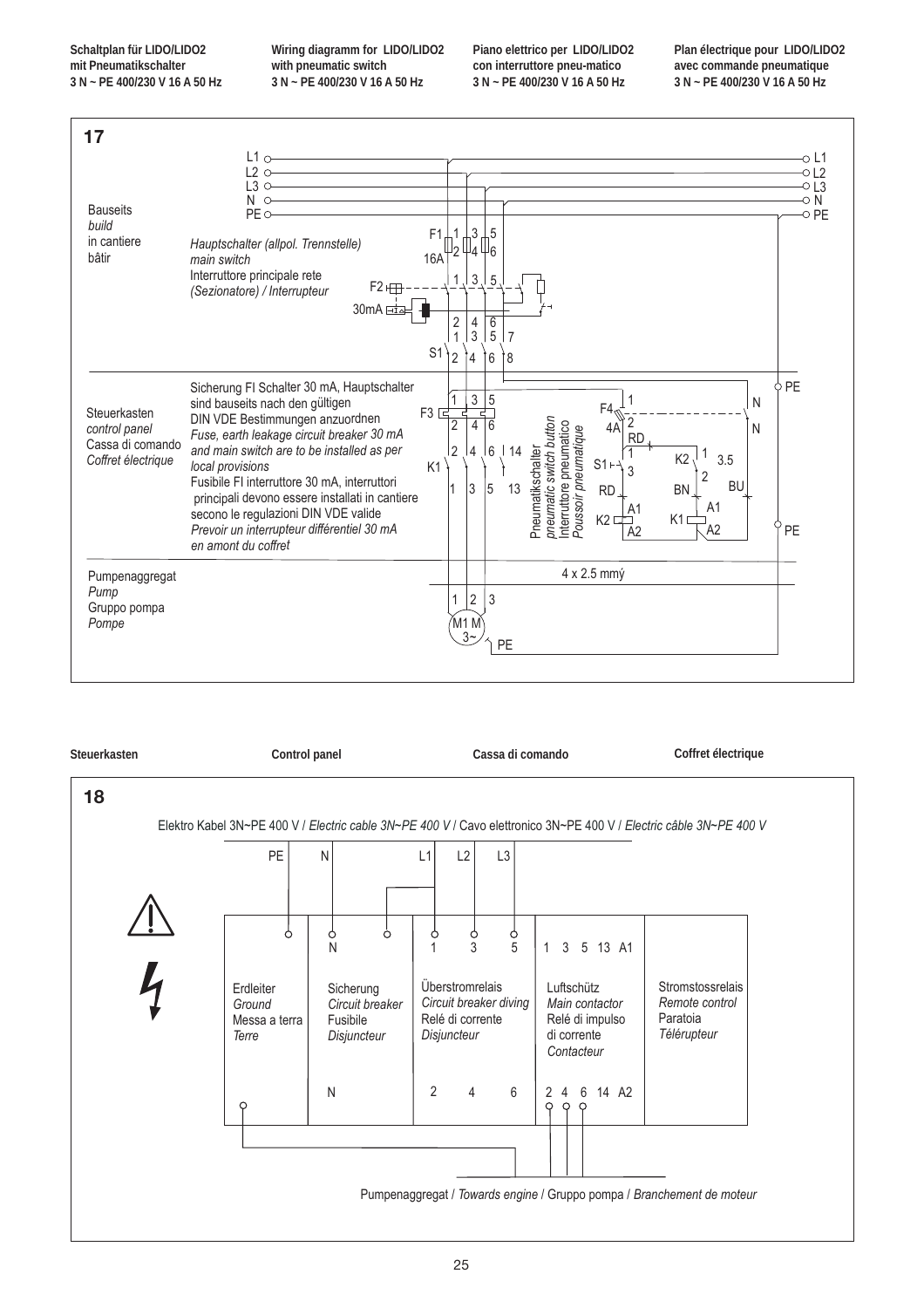**Schaltplan für LIDO/LIDO2 mit Pneumatikschalter 3 N ~ PE 400/230 V 16 A 50 Hz** **Wiring diagramm for LIDO/LIDO2 with pneumatic switch 3 N ~ PE 400/230 V 16 A 50 Hz**

**Piano elettrico per LIDO/LIDO2 con interruttore pneu-matico 3 N ~ PE 400/230 V 16 A 50 Hz**

**Plan électrique pour LIDO/LIDO2 avec commande pneumatique 3 N ~ PE 400/230 V 16 A 50 Hz**



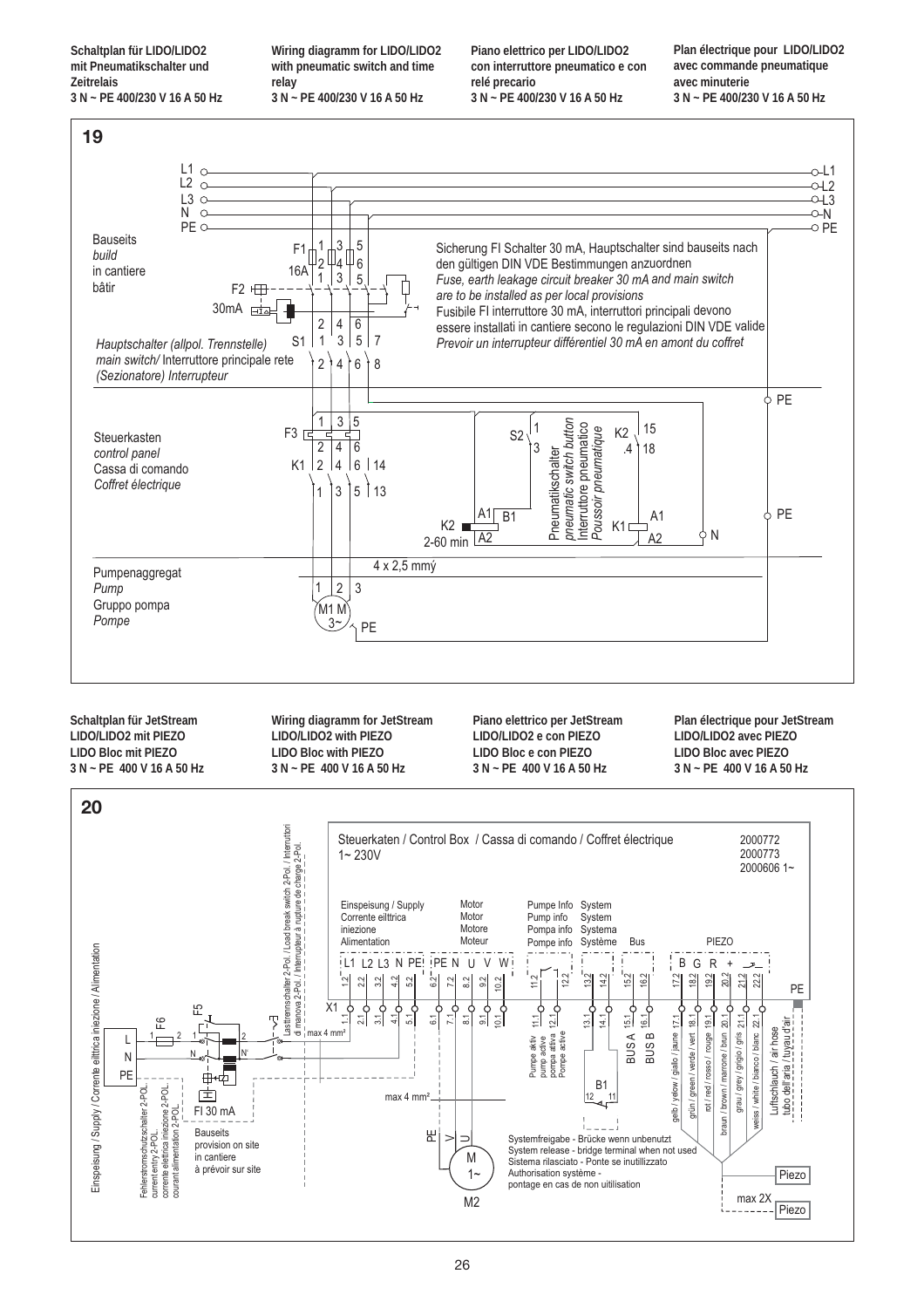**Schaltplan für LIDO/LIDO2 mit Pneumatikschalter und Zeitrelais 3 N ~ PE 400/230 V 16 A 50 Hz** **Wiring diagramm for LIDO/LIDO2 with pneumatic switch and time relay 3 N ~ PE 400/230 V 16 A 50 Hz**

**Piano elettrico per LIDO/LIDO2 con interruttore pneumatico e con relé precario 3 N ~ PE 400/230 V 16 A 50 Hz**

**Plan électrique pour LIDO/LIDO2 avec commande pneumatique avec minuterie 3 N ~ PE 400/230 V 16 A 50 Hz**

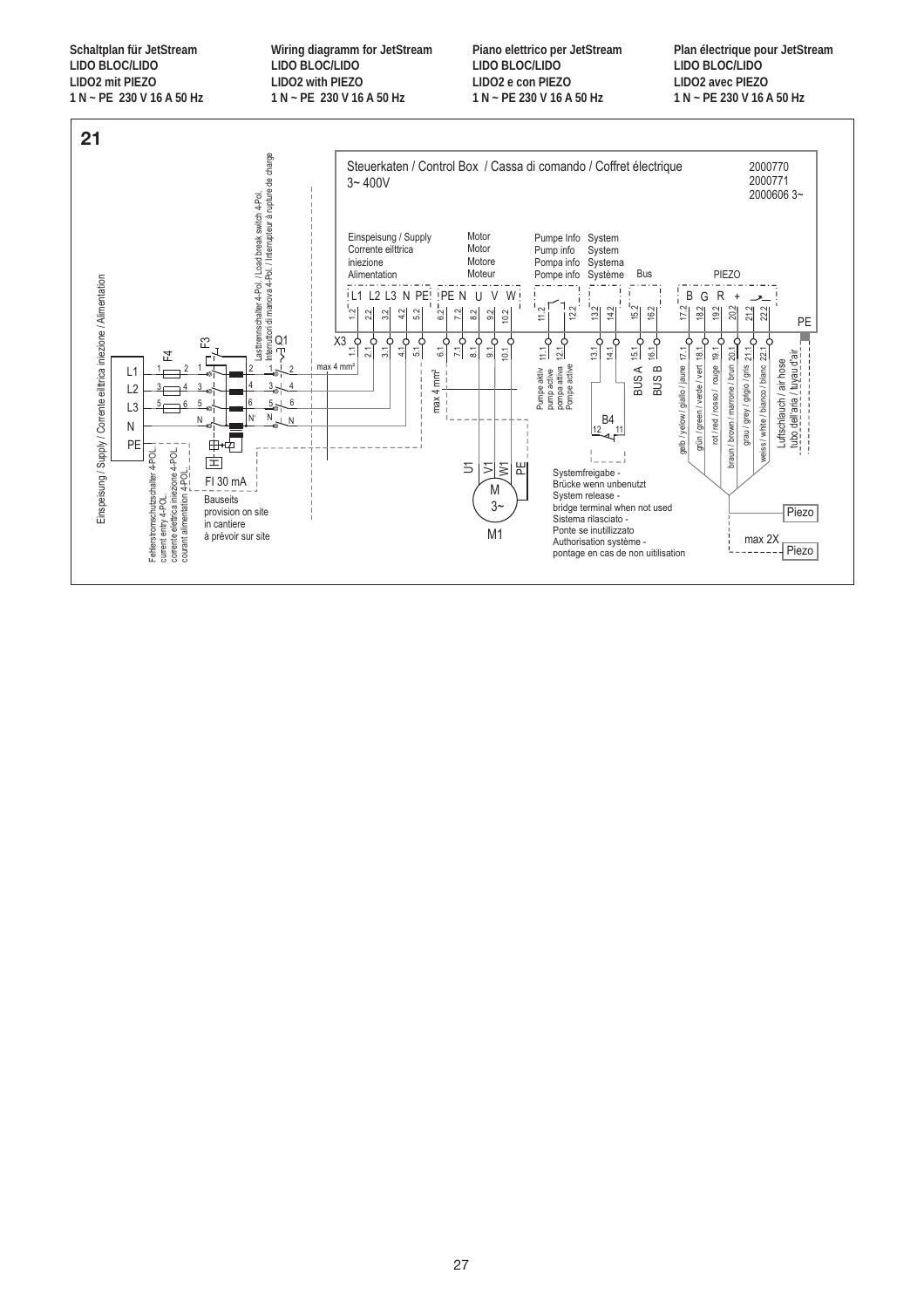**Schaltplan für JetStream LIDO BLOC/LIDO LIDO2 mit PIEZO 1 N ~ PE 230 V 16 A 50 Hz** **Wiring diagramm for JetStream LIDO BLOC/LIDO LIDO2 with PIEZO 1 N ~ PE 230 V 16 A 50 Hz**

**Piano elettrico per JetStream LIDO BLOC/LIDO LIDO2 e con PIEZO 1 N ~ PE 230 V 16 A 50 Hz**

**Plan électrique pour JetStream LIDO BLOC/LIDO LIDO2 avec PIEZO 1 N ~ PE 230 V 16 A 50 Hz**